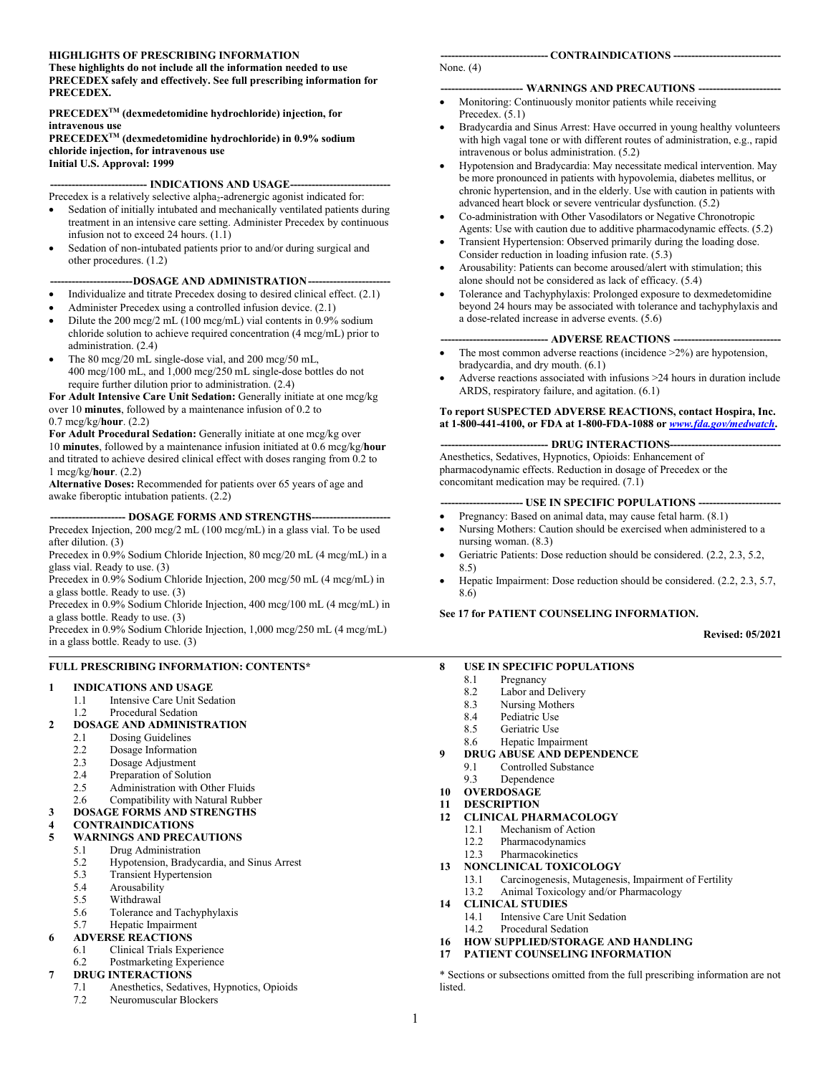#### **HIGHLIGHTS OF PRESCRIBING INFORMATION**

**These highlights do not include all the information needed to use PRECEDEX safely and effectively. See full prescribing information for PRECEDEX.**

#### **PRECEDEXTM (dexmedetomidine hydrochloride) injection, for intravenous use**

**PRECEDEXTM (dexmedetomidine hydrochloride) in 0.9% sodium chloride injection, for intravenous use Initial U.S. Approval: 1999**

#### -- **INDICATIONS AND USAGE----**

Precedex is a relatively selective alpha<sub>2</sub>-adrenergic agonist indicated for:

- Sedation of initially intubated and mechanically ventilated patients during treatment in an intensive care setting. Administer Precedex by continuous infusion not to exceed 24 hours. (1.1)
- Sedation of non-intubated patients prior to and/or during surgical and other procedures. (1.2)

#### ---DOSAGE AND ADMINISTRATION----

- Individualize and titrate Precedex dosing to desired clinical effect. (2.1)
- Administer Precedex using a controlled infusion device. (2.1)
- Dilute the 200 mcg/2 mL (100 mcg/mL) vial contents in 0.9% sodium chloride solution to achieve required concentration (4 mcg/mL) prior to administration. (2.4)
- The 80 mcg/20 mL single-dose vial, and 200 mcg/50 mL, 400 mcg/100 mL, and 1,000 mcg/250 mL single-dose bottles do not require further dilution prior to administration. (2.4)

**For Adult Intensive Care Unit Sedation:** Generally initiate at one mcg/kg over 10 **minutes**, followed by a maintenance infusion of 0.2 to

0.7 mcg/kg/**hour**. (2.2) **For Adult Procedural Sedation:** Generally initiate at one mcg/kg over 10 **minutes**, followed by a maintenance infusion initiated at 0.6 mcg/kg/**hour** and titrated to achieve desired clinical effect with doses ranging from 0.2 to

1 mcg/kg/**hour**. (2.2) **Alternative Doses:** Recommended for patients over 65 years of age and awake fiberoptic intubation patients. (2.2)

#### **--------------------- DOSAGE FORMS AND STRENGTHS----------------------**

Precedex Injection, 200 mcg/2 mL (100 mcg/mL) in a glass vial. To be used after dilution. (3)

Precedex in 0.9% Sodium Chloride Injection, 80 mcg/20 mL (4 mcg/mL) in a glass vial. Ready to use. (3)

Precedex in 0.9% Sodium Chloride Injection, 200 mcg/50 mL (4 mcg/mL) in a glass bottle. Ready to use. (3)

Precedex in 0.9% Sodium Chloride Injection, 400 mcg/100 mL (4 mcg/mL) in a glass bottle. Ready to use. (3)

Precedex in 0.9% Sodium Chloride Injection, 1,000 mcg/250 mL (4 mcg/mL) in a glass bottle. Ready to use. (3)

#### **FULL PRESCRIBING INFORMATION: CONTENTS\***

#### **1 INDICATIONS AND USAGE**

- 1.1 Intensive Care Unit Sedation
- 1.2 Procedural Sedation

#### **2 DOSAGE AND ADMINISTRATION**

- 2.1 Dosing Guidelines<br>2.2 Dosage Information
- Dosage Information
- 
- 2.3 Dosage Adjustment<br>2.4 Preparation of Solut Preparation of Solution
- 
- 2.5 Administration with Other Fluids<br>2.6 Compatibility with Natural Rubbe Compatibility with Natural Rubber
- **3 DOSAGE FORMS AND STRENGTHS**

#### **4 CONTRAINDICATIONS**

#### **5 WARNINGS AND PRECAUTIONS**

- 5.1 Drug Administration
- 5.2 Hypotension, Bradycardia, and Sinus Arrest
- 5.3 Transient Hypertension<br>5.4 Arousability
- **Arousability**
- 5.5 Withdrawal
- 5.6 Tolerance and Tachyphylaxis
- 5.7 Hepatic Impairment

#### **6 ADVERSE REACTIONS**

- 6.1 Clinical Trials Experience
- 6.2 Postmarketing Experience

#### **7 DRUG INTERACTIONS**

- 7.1 Anesthetics, Sedatives, Hypnotics, Opioids
- 7.2 Neuromuscular Blockers

#### None. (4)

#### **----------------------- WARNINGS AND PRECAUTIONS -----------------------**

- Monitoring: Continuously monitor patients while receiving Precedex.  $(5.1)$
- Bradycardia and Sinus Arrest: Have occurred in young healthy volunteers with high vagal tone or with different routes of administration, e.g., rapid intravenous or bolus administration. (5.2)
- Hypotension and Bradycardia: May necessitate medical intervention. May be more pronounced in patients with hypovolemia, diabetes mellitus, or chronic hypertension, and in the elderly. Use with caution in patients with advanced heart block or severe ventricular dysfunction. (5.2)
- Co-administration with Other Vasodilators or Negative Chronotropic Agents: Use with caution due to additive pharmacodynamic effects. (5.2)
- Transient Hypertension: Observed primarily during the loading dose. Consider reduction in loading infusion rate. (5.3)
- Arousability: Patients can become aroused/alert with stimulation; this alone should not be considered as lack of efficacy. (5.4)
- Tolerance and Tachyphylaxis: Prolonged exposure to dexmedetomidine beyond 24 hours may be associated with tolerance and tachyphylaxis and a dose-related increase in adverse events. (5.6)

#### **------------------------------ ADVERSE REACTIONS ------------------------------**

- The most common adverse reactions (incidence >2%) are hypotension, bradycardia, and dry mouth. (6.1)
- Adverse reactions associated with infusions >24 hours in duration include ARDS, respiratory failure, and agitation. (6.1)

#### **To report SUSPECTED ADVERSE REACTIONS, contact Hospira, Inc. at 1-800-441-4100, or FDA at 1-800-FDA-1088 or** *[www.fda.gov/medwatch](http://www.fda.gov/medwatch)***.**

#### -- **DRUG INTERACTIONS---**

Anesthetics, Sedatives, Hypnotics, Opioids: Enhancement of pharmacodynamic effects. Reduction in dosage of Precedex or the concomitant medication may be required. (7.1)

#### **---- USE IN SPECIFIC POPULATIONS ---**

- Pregnancy: Based on animal data, may cause fetal harm. (8.1) Nursing Mothers: Caution should be exercised when administered to a
- nursing woman. (8.3)
- Geriatric Patients: Dose reduction should be considered. (2.2, 2.3, 5.2, 8.5)
- Hepatic Impairment: Dose reduction should be considered. (2.2, 2.3, 5.7, 8.6)

#### **See 17 for PATIENT COUNSELING INFORMATION.**

#### **Revised: 05/2021**

- **8 USE IN SPECIFIC POPULATIONS**
	- 8.1 Pregnancy<br>8.2 Labor and
	- Labor and Delivery
	- 8.3 Nursing Mothers
	- 8.4 Pediatric Use
	- 8.5 Geriatric Use
	- 8.6 Hepatic Impairment
- **9 DRUG ABUSE AND DEPENDENCE**
	- 9.1 Controlled Substance<br>9.3 Dependence
- **Dependence**
- **10 OVERDOSAGE**
- **11 DESCRIPTION**
- **12 CLINICAL PHARMACOLOGY**
	- 12.1 Mechanism of Action
	- 12.2 Pharmacodynamics
	- 12.3 Pharmacokinetics
- **13 NONCLINICAL TOXICOLOGY**
	- 13.1 Carcinogenesis, Mutagenesis, Impairment of Fertility
	- 13.2 Animal Toxicology and/or Pharmacology
- **14 CLINICAL STUDIES**
	- 14.1 Intensive Care Unit Sedation<br>14.2 Procedural Sedation
	- Procedural Sedation
- **16 HOW SUPPLIED/STORAGE AND HANDLING**
- **17 PATIENT COUNSELING INFORMATION**

\* Sections or subsections omitted from the full prescribing information are not listed.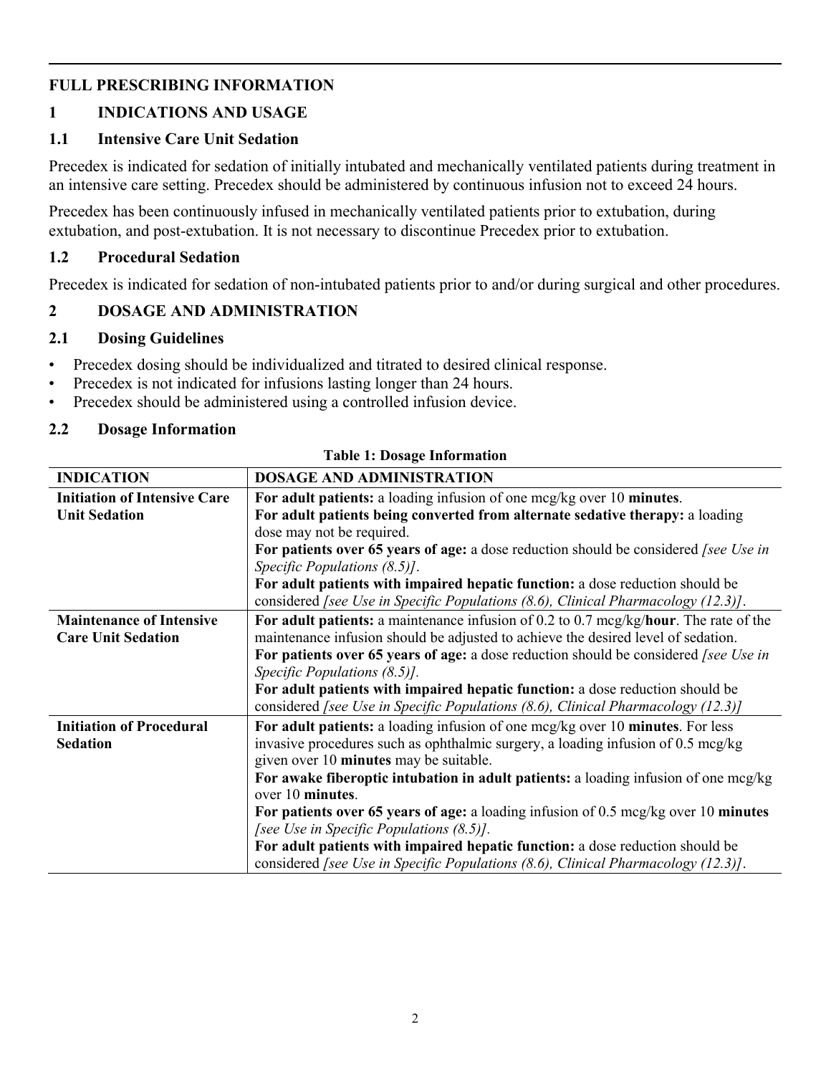## **FULL PRESCRIBING INFORMATION**

## **1 INDICATIONS AND USAGE**

#### **1.1 Intensive Care Unit Sedation**

Precedex is indicated for sedation of initially intubated and mechanically ventilated patients during treatment in an intensive care setting. Precedex should be administered by continuous infusion not to exceed 24 hours.

Precedex has been continuously infused in mechanically ventilated patients prior to extubation, during extubation, and post-extubation. It is not necessary to discontinue Precedex prior to extubation.

#### **1.2 Procedural Sedation**

Precedex is indicated for sedation of non-intubated patients prior to and/or during surgical and other procedures.

#### **2 DOSAGE AND ADMINISTRATION**

#### **2.1 Dosing Guidelines**

- Precedex dosing should be individualized and titrated to desired clinical response.
- Precedex is not indicated for infusions lasting longer than 24 hours.
- Precedex should be administered using a controlled infusion device.

#### **2.2 Dosage Information**

| <b>INDICATION</b>                   | <b>DOSAGE AND ADMINISTRATION</b>                                                        |  |  |  |
|-------------------------------------|-----------------------------------------------------------------------------------------|--|--|--|
| <b>Initiation of Intensive Care</b> | For adult patients: a loading infusion of one mcg/kg over 10 minutes.                   |  |  |  |
| <b>Unit Sedation</b>                | For adult patients being converted from alternate sedative therapy: a loading           |  |  |  |
|                                     | dose may not be required.                                                               |  |  |  |
|                                     | For patients over 65 years of age: a dose reduction should be considered [see Use in    |  |  |  |
|                                     | Specific Populations $(8.5)$ ].                                                         |  |  |  |
|                                     | For adult patients with impaired hepatic function: a dose reduction should be           |  |  |  |
|                                     | considered [see Use in Specific Populations $(8.6)$ , Clinical Pharmacology $(12.3)$ ]. |  |  |  |
| <b>Maintenance of Intensive</b>     | For adult patients: a maintenance infusion of 0.2 to 0.7 mcg/kg/hour. The rate of the   |  |  |  |
| <b>Care Unit Sedation</b>           | maintenance infusion should be adjusted to achieve the desired level of sedation.       |  |  |  |
|                                     | For patients over 65 years of age: a dose reduction should be considered [see Use in    |  |  |  |
|                                     | Specific Populations $(8.5)$ ].                                                         |  |  |  |
|                                     | For adult patients with impaired hepatic function: a dose reduction should be           |  |  |  |
|                                     | considered [see Use in Specific Populations (8.6), Clinical Pharmacology (12.3)]        |  |  |  |
| <b>Initiation of Procedural</b>     | For adult patients: a loading infusion of one mcg/kg over 10 minutes. For less          |  |  |  |
| <b>Sedation</b>                     | invasive procedures such as ophthalmic surgery, a loading infusion of 0.5 mcg/kg        |  |  |  |
|                                     | given over 10 minutes may be suitable.                                                  |  |  |  |
|                                     | For awake fiberoptic intubation in adult patients: a loading infusion of one mcg/kg     |  |  |  |
|                                     | over 10 minutes.                                                                        |  |  |  |
|                                     | For patients over 65 years of age: a loading infusion of 0.5 mcg/kg over 10 minutes     |  |  |  |
|                                     | [see Use in Specific Populations $(8.5)$ ].                                             |  |  |  |
|                                     | For adult patients with impaired hepatic function: a dose reduction should be           |  |  |  |
|                                     | considered [see Use in Specific Populations (8.6), Clinical Pharmacology (12.3)].       |  |  |  |

**Table 1: Dosage Information**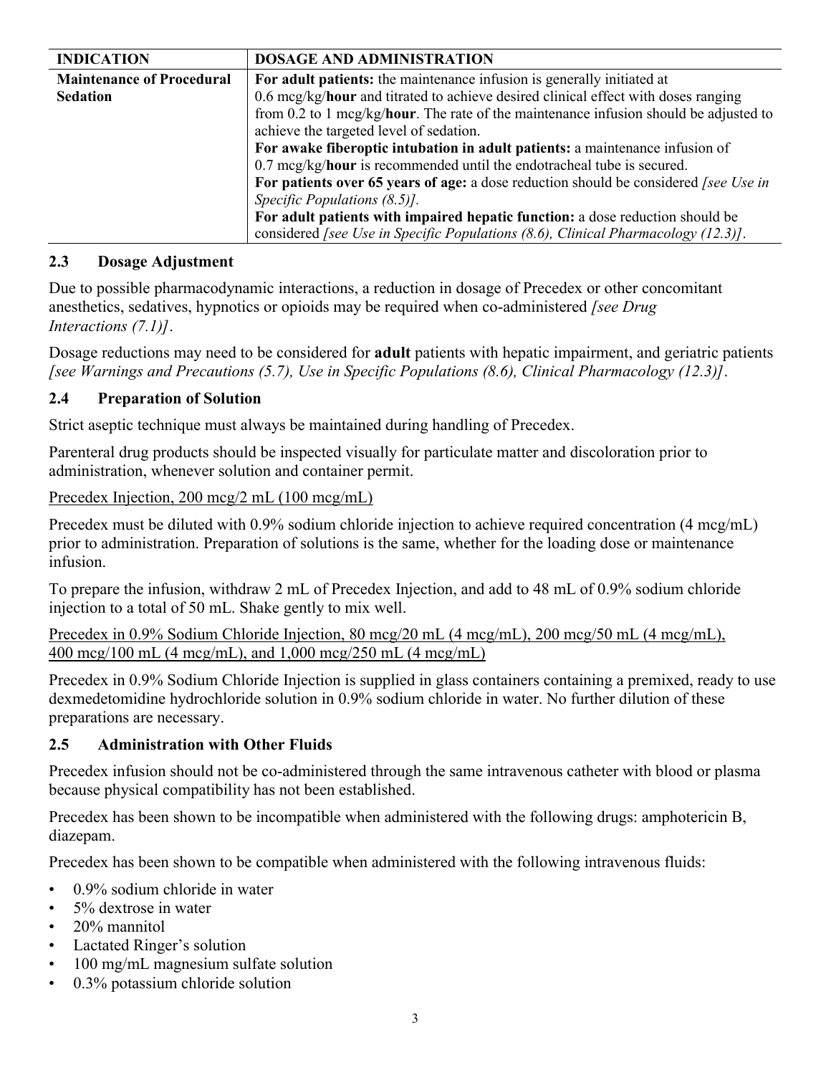| <b>INDICATION</b>                | <b>DOSAGE AND ADMINISTRATION</b>                                                              |  |  |
|----------------------------------|-----------------------------------------------------------------------------------------------|--|--|
| <b>Maintenance of Procedural</b> | For adult patients: the maintenance infusion is generally initiated at                        |  |  |
| <b>Sedation</b>                  | 0.6 mcg/kg/hour and titrated to achieve desired clinical effect with doses ranging            |  |  |
|                                  | from 0.2 to 1 mcg/kg/hour. The rate of the maintenance infusion should be adjusted to         |  |  |
|                                  | achieve the targeted level of sedation.                                                       |  |  |
|                                  | For awake fiberoptic intubation in adult patients: a maintenance infusion of                  |  |  |
|                                  | $0.7 \text{~mag/kg/hour}$ is recommended until the endotracheal tube is secured.              |  |  |
|                                  | For patients over 65 years of age: a dose reduction should be considered <i>[see Use in</i> ] |  |  |
|                                  | Specific Populations $(8.5)$ .                                                                |  |  |
|                                  | For adult patients with impaired hepatic function: a dose reduction should be                 |  |  |
|                                  | considered [see Use in Specific Populations $(8.6)$ , Clinical Pharmacology $(12.3)$ ].       |  |  |

#### **2.3 Dosage Adjustment**

Due to possible pharmacodynamic interactions, a reduction in dosage of Precedex or other concomitant anesthetics, sedatives, hypnotics or opioids may be required when co-administered *[see Drug Interactions (7.1)]*.

Dosage reductions may need to be considered for **adult** patients with hepatic impairment, and geriatric patients *[see Warnings and Precautions (5.7), Use in Specific Populations (8.6), Clinical Pharmacology (12.3)]*.

#### **2.4 Preparation of Solution**

Strict aseptic technique must always be maintained during handling of Precedex.

Parenteral drug products should be inspected visually for particulate matter and discoloration prior to administration, whenever solution and container permit.

Precedex Injection, 200 mcg/2 mL (100 mcg/mL)

Precedex must be diluted with 0.9% sodium chloride injection to achieve required concentration (4 mcg/mL) prior to administration. Preparation of solutions is the same, whether for the loading dose or maintenance infusion.

To prepare the infusion, withdraw 2 mL of Precedex Injection, and add to 48 mL of 0.9% sodium chloride injection to a total of 50 mL. Shake gently to mix well.

Precedex in 0.9% Sodium Chloride Injection, 80 mcg/20 mL (4 mcg/mL), 200 mcg/50 mL (4 mcg/mL), 400 mcg/100 mL (4 mcg/mL), and 1,000 mcg/250 mL (4 mcg/mL)

Precedex in 0.9% Sodium Chloride Injection is supplied in glass containers containing a premixed, ready to use dexmedetomidine hydrochloride solution in 0.9% sodium chloride in water. No further dilution of these preparations are necessary.

## **2.5 Administration with Other Fluids**

Precedex infusion should not be co-administered through the same intravenous catheter with blood or plasma because physical compatibility has not been established.

Precedex has been shown to be incompatible when administered with the following drugs: amphotericin B, diazepam.

Precedex has been shown to be compatible when administered with the following intravenous fluids:

- 0.9% sodium chloride in water
- 5% dextrose in water
- 20% mannitol
- Lactated Ringer's solution
- 100 mg/mL magnesium sulfate solution
- 0.3% potassium chloride solution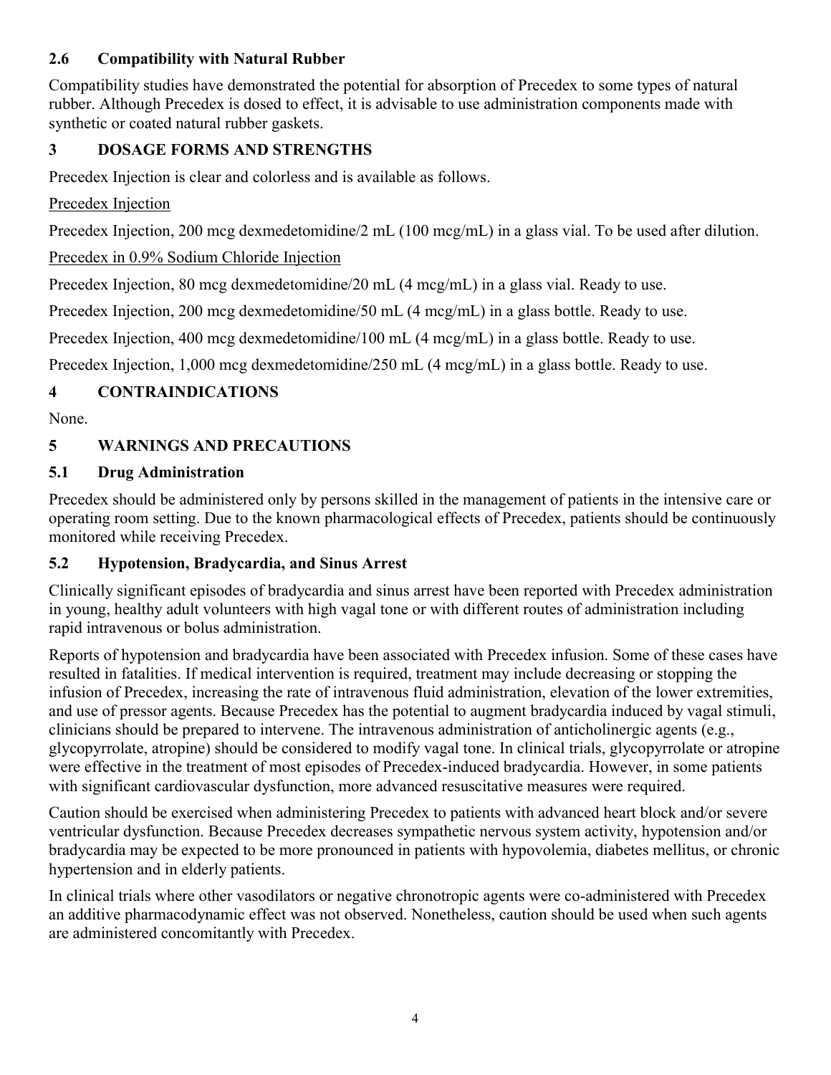## **2.6 Compatibility with Natural Rubber**

Compatibility studies have demonstrated the potential for absorption of Precedex to some types of natural rubber. Although Precedex is dosed to effect, it is advisable to use administration components made with synthetic or coated natural rubber gaskets.

## **3 DOSAGE FORMS AND STRENGTHS**

Precedex Injection is clear and colorless and is available as follows.

#### Precedex Injection

Precedex Injection, 200 mcg dexmedetomidine/2 mL (100 mcg/mL) in a glass vial. To be used after dilution.

## Precedex in 0.9% Sodium Chloride Injection

Precedex Injection, 80 mcg dexmedetomidine/20 mL (4 mcg/mL) in a glass vial. Ready to use.

Precedex Injection, 200 mcg dexmedetomidine/50 mL (4 mcg/mL) in a glass bottle. Ready to use.

Precedex Injection, 400 mcg dexmedetomidine/100 mL (4 mcg/mL) in a glass bottle. Ready to use.

Precedex Injection, 1,000 mcg dexmedetomidine/250 mL (4 mcg/mL) in a glass bottle. Ready to use.

## **4 CONTRAINDICATIONS**

None.

## **5 WARNINGS AND PRECAUTIONS**

## **5.1 Drug Administration**

Precedex should be administered only by persons skilled in the management of patients in the intensive care or operating room setting. Due to the known pharmacological effects of Precedex, patients should be continuously monitored while receiving Precedex.

## **5.2 Hypotension, Bradycardia, and Sinus Arrest**

Clinically significant episodes of bradycardia and sinus arrest have been reported with Precedex administration in young, healthy adult volunteers with high vagal tone or with different routes of administration including rapid intravenous or bolus administration.

Reports of hypotension and bradycardia have been associated with Precedex infusion. Some of these cases have resulted in fatalities. If medical intervention is required, treatment may include decreasing or stopping the infusion of Precedex, increasing the rate of intravenous fluid administration, elevation of the lower extremities, and use of pressor agents. Because Precedex has the potential to augment bradycardia induced by vagal stimuli, clinicians should be prepared to intervene. The intravenous administration of anticholinergic agents (e.g., glycopyrrolate, atropine) should be considered to modify vagal tone. In clinical trials, glycopyrrolate or atropine were effective in the treatment of most episodes of Precedex-induced bradycardia. However, in some patients with significant cardiovascular dysfunction, more advanced resuscitative measures were required.

Caution should be exercised when administering Precedex to patients with advanced heart block and/or severe ventricular dysfunction. Because Precedex decreases sympathetic nervous system activity, hypotension and/or bradycardia may be expected to be more pronounced in patients with hypovolemia, diabetes mellitus, or chronic hypertension and in elderly patients.

In clinical trials where other vasodilators or negative chronotropic agents were co-administered with Precedex an additive pharmacodynamic effect was not observed. Nonetheless, caution should be used when such agents are administered concomitantly with Precedex.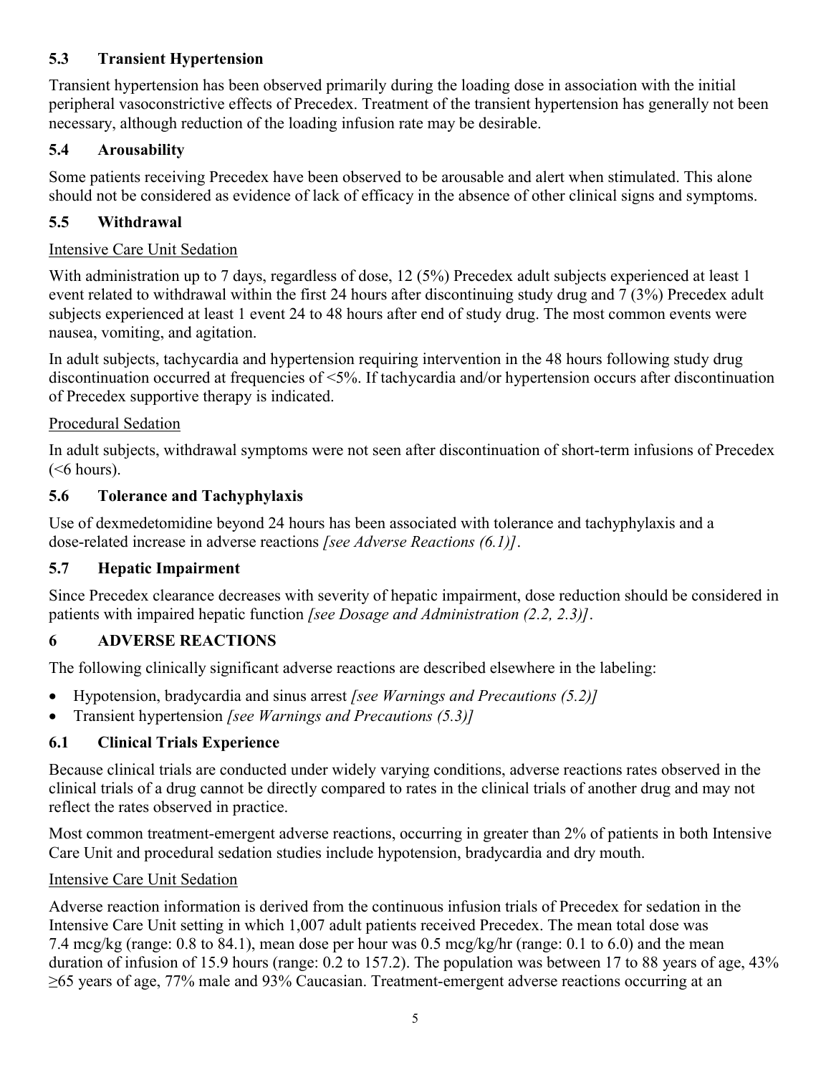## **5.3 Transient Hypertension**

Transient hypertension has been observed primarily during the loading dose in association with the initial peripheral vasoconstrictive effects of Precedex. Treatment of the transient hypertension has generally not been necessary, although reduction of the loading infusion rate may be desirable.

## **5.4 Arousability**

Some patients receiving Precedex have been observed to be arousable and alert when stimulated. This alone should not be considered as evidence of lack of efficacy in the absence of other clinical signs and symptoms.

## **5.5 Withdrawal**

## Intensive Care Unit Sedation

With administration up to 7 days, regardless of dose, 12 (5%) Precedex adult subjects experienced at least 1 event related to withdrawal within the first 24 hours after discontinuing study drug and 7 (3%) Precedex adult subjects experienced at least 1 event 24 to 48 hours after end of study drug. The most common events were nausea, vomiting, and agitation.

In adult subjects, tachycardia and hypertension requiring intervention in the 48 hours following study drug discontinuation occurred at frequencies of <5%. If tachycardia and/or hypertension occurs after discontinuation of Precedex supportive therapy is indicated.

## Procedural Sedation

In adult subjects, withdrawal symptoms were not seen after discontinuation of short-term infusions of Precedex  $(<sub>6</sub> hours).$ 

## **5.6 Tolerance and Tachyphylaxis**

Use of dexmedetomidine beyond 24 hours has been associated with tolerance and tachyphylaxis and a dose-related increase in adverse reactions *[see Adverse Reactions (6.1)]*.

## **5.7 Hepatic Impairment**

Since Precedex clearance decreases with severity of hepatic impairment, dose reduction should be considered in patients with impaired hepatic function *[see Dosage and Administration (2.2, 2.3)]*.

## **6 ADVERSE REACTIONS**

The following clinically significant adverse reactions are described elsewhere in the labeling:

- Hypotension, bradycardia and sinus arrest *[see Warnings and Precautions (5.2)]*
- Transient hypertension *[see Warnings and Precautions (5.3)]*

## **6.1 Clinical Trials Experience**

Because clinical trials are conducted under widely varying conditions, adverse reactions rates observed in the clinical trials of a drug cannot be directly compared to rates in the clinical trials of another drug and may not reflect the rates observed in practice.

Most common treatment-emergent adverse reactions, occurring in greater than 2% of patients in both Intensive Care Unit and procedural sedation studies include hypotension, bradycardia and dry mouth.

## Intensive Care Unit Sedation

Adverse reaction information is derived from the continuous infusion trials of Precedex for sedation in the Intensive Care Unit setting in which 1,007 adult patients received Precedex. The mean total dose was 7.4 mcg/kg (range: 0.8 to 84.1), mean dose per hour was 0.5 mcg/kg/hr (range: 0.1 to 6.0) and the mean duration of infusion of 15.9 hours (range: 0.2 to 157.2). The population was between 17 to 88 years of age, 43% ≥65 years of age, 77% male and 93% Caucasian. Treatment-emergent adverse reactions occurring at an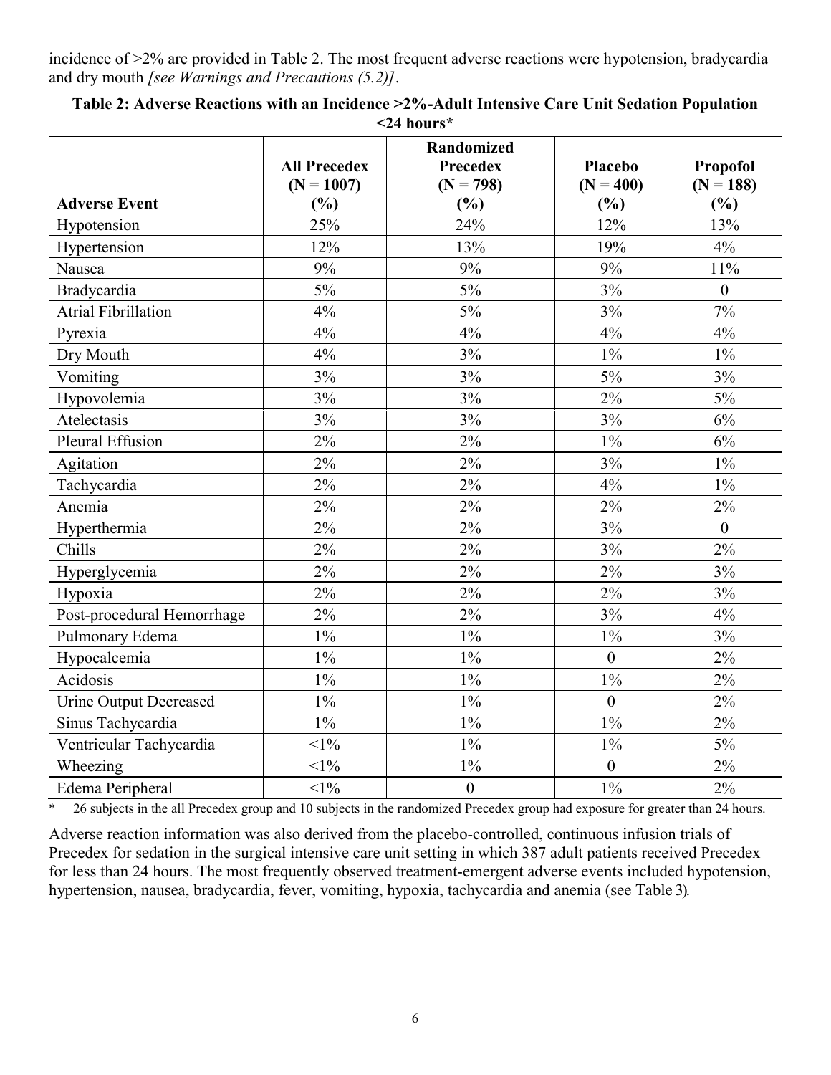incidence of >2% are provided in Table 2. The most frequent adverse reactions were hypotension, bradycardia and dry mouth *[see Warnings and Precautions (5.2)]*.

|                               | <b>All Precedex</b><br>$(N = 1007)$ | <b>Randomized</b><br><b>Precedex</b><br>$(N = 798)$ | Placebo<br>$(N = 400)$ | Propofol<br>$(N = 188)$ |
|-------------------------------|-------------------------------------|-----------------------------------------------------|------------------------|-------------------------|
| <b>Adverse Event</b>          | $(\%)$                              | (%)                                                 | (%)                    | (%)                     |
| Hypotension                   | 25%                                 | 24%                                                 | 12%                    | 13%                     |
| Hypertension                  | 12%                                 | 13%                                                 | 19%                    | 4%                      |
| Nausea                        | 9%                                  | 9%                                                  | 9%                     | 11%                     |
| Bradycardia                   | 5%                                  | 5%                                                  | 3%                     | $\overline{0}$          |
| <b>Atrial Fibrillation</b>    | 4%                                  | 5%                                                  | 3%                     | 7%                      |
| Pyrexia                       | 4%                                  | 4%                                                  | 4%                     | 4%                      |
| Dry Mouth                     | 4%                                  | 3%                                                  | $1\%$                  | $1\%$                   |
| Vomiting                      | 3%                                  | 3%                                                  | 5%                     | 3%                      |
| Hypovolemia                   | 3%                                  | 3%                                                  | 2%                     | $5\%$                   |
| Atelectasis                   | 3%                                  | 3%                                                  | 3%                     | 6%                      |
| Pleural Effusion              | 2%                                  | 2%                                                  | $1\%$                  | 6%                      |
| Agitation                     | 2%                                  | 2%                                                  | 3%                     | $1\%$                   |
| Tachycardia                   | 2%                                  | 2%                                                  | 4%                     | $1\%$                   |
| Anemia                        | 2%                                  | 2%                                                  | 2%                     | 2%                      |
| Hyperthermia                  | 2%                                  | 2%                                                  | 3%                     | $\mathbf{0}$            |
| Chills                        | 2%                                  | 2%                                                  | 3%                     | 2%                      |
| Hyperglycemia                 | 2%                                  | 2%                                                  | 2%                     | 3%                      |
| Hypoxia                       | 2%                                  | 2%                                                  | 2%                     | 3%                      |
| Post-procedural Hemorrhage    | 2%                                  | 2%                                                  | 3%                     | 4%                      |
| Pulmonary Edema               | $1\%$                               | $1\%$                                               | $1\%$                  | 3%                      |
| Hypocalcemia                  | $1\%$                               | $1\%$                                               | $\boldsymbol{0}$       | 2%                      |
| Acidosis                      | $1\%$                               | $1\%$                                               | $1\%$                  | 2%                      |
| <b>Urine Output Decreased</b> | $1\%$                               | $1\%$                                               | $\boldsymbol{0}$       | 2%                      |
| Sinus Tachycardia             | $1\%$                               | $1\%$                                               | $1\%$                  | 2%                      |
| Ventricular Tachycardia       | $<$ 1%                              | $1\%$                                               | $1\%$                  | 5%                      |
| Wheezing                      | $<1\%$                              | $1\%$                                               | $\overline{0}$         | 2%                      |
| Edema Peripheral              | $<1\%$                              | $\boldsymbol{0}$                                    | $1\%$                  | 2%                      |

**Table 2: Adverse Reactions with an Incidence >2%-Adult Intensive Care Unit Sedation Population <24 hours\***

\* 26 subjects in the all Precedex group and 10 subjects in the randomized Precedex group had exposure for greater than 24 hours.

Adverse reaction information was also derived from the placebo-controlled, continuous infusion trials of Precedex for sedation in the surgical intensive care unit setting in which 387 adult patients received Precedex for less than 24 hours. The most frequently observed treatment-emergent adverse events included hypotension, hypertension, nausea, bradycardia, fever, vomiting, hypoxia, tachycardia and anemia (see Table 3).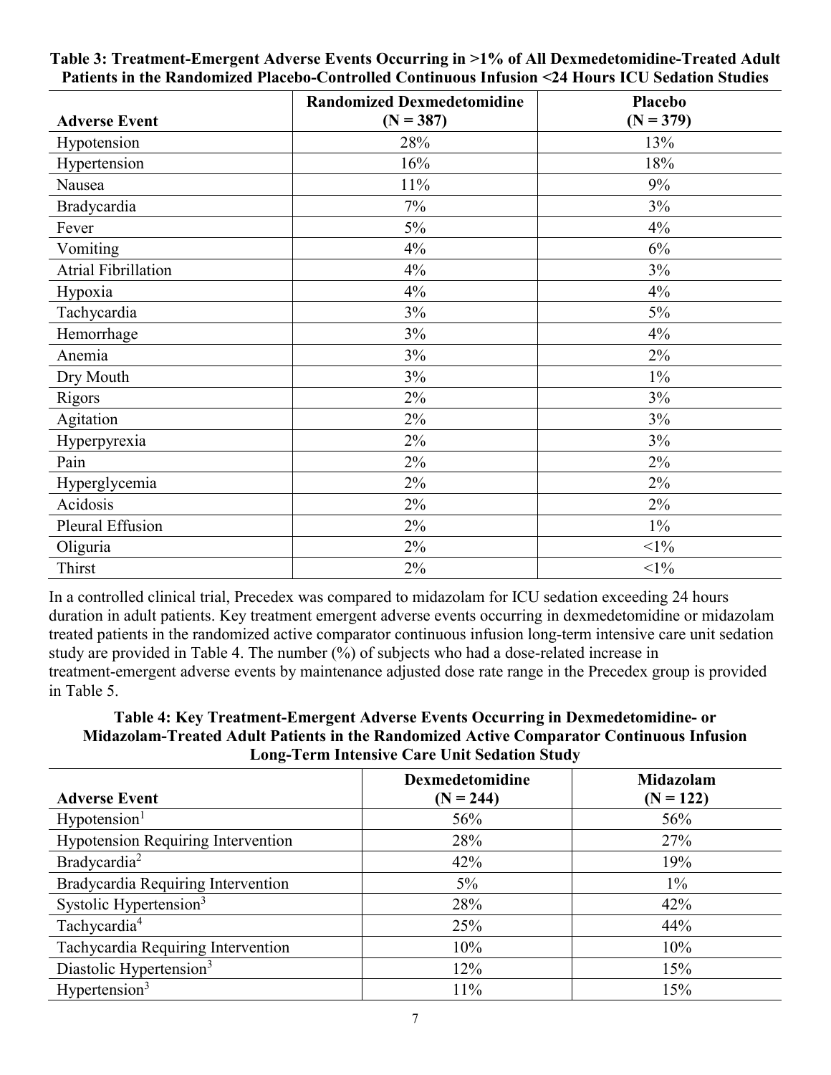| <b>Adverse Event</b>       | <b>Randomized Dexmedetomidine</b><br>$(N = 387)$ | <b>Placebo</b><br>$(N = 379)$ |  |
|----------------------------|--------------------------------------------------|-------------------------------|--|
| Hypotension                | 28%                                              | 13%                           |  |
| Hypertension               | 16%                                              | 18%                           |  |
| Nausea                     | 11%                                              | 9%                            |  |
| Bradycardia                | 7%                                               | 3%                            |  |
| Fever                      | $5\%$                                            | 4%                            |  |
| Vomiting                   | 4%                                               | 6%                            |  |
| <b>Atrial Fibrillation</b> | 4%                                               | 3%                            |  |
| Hypoxia                    | 4%                                               | 4%                            |  |
| Tachycardia                | 3%                                               | 5%                            |  |
| Hemorrhage                 | 3%                                               | 4%                            |  |
| Anemia                     | 3%                                               | $2\%$                         |  |
| Dry Mouth                  | $3\%$                                            | $1\%$                         |  |
| Rigors                     | 2%                                               | 3%                            |  |
| Agitation                  | 2%                                               | 3%                            |  |
| Hyperpyrexia               | $2\%$                                            | 3%                            |  |
| Pain                       | $2\%$                                            | $2\%$                         |  |
| Hyperglycemia              | $2\%$                                            | 2%                            |  |
| Acidosis                   | 2%                                               | 2%                            |  |
| Pleural Effusion           | $2\%$                                            | $1\%$                         |  |
| Oliguria                   | $2\%$                                            | $<1\%$                        |  |
| Thirst                     | $2\%$                                            | $<1\%$                        |  |

**Table 3: Treatment-Emergent Adverse Events Occurring in >1% of All Dexmedetomidine-Treated Adult Patients in the Randomized Placebo-Controlled Continuous Infusion <24 Hours ICU Sedation Studies**

In a controlled clinical trial, Precedex was compared to midazolam for ICU sedation exceeding 24 hours duration in adult patients. Key treatment emergent adverse events occurring in dexmedetomidine or midazolam treated patients in the randomized active comparator continuous infusion long-term intensive care unit sedation study are provided in Table 4. The number (%) of subjects who had a dose-related increase in treatment-emergent adverse events by maintenance adjusted dose rate range in the Precedex group is provided in Table 5.

#### **Table 4: Key Treatment-Emergent Adverse Events Occurring in Dexmedetomidine- or Midazolam-Treated Adult Patients in the Randomized Active Comparator Continuous Infusion Long-Term Intensive Care Unit Sedation Study**

|                                           | Dexmedetomidine | Midazolam   |
|-------------------------------------------|-----------------|-------------|
| <b>Adverse Event</b>                      | $(N = 244)$     | $(N = 122)$ |
| Hypotension <sup>1</sup>                  | 56%             | 56%         |
| <b>Hypotension Requiring Intervention</b> | 28%             | 27%         |
| Bradycardia <sup>2</sup>                  | 42%             | 19%         |
| Bradycardia Requiring Intervention        | $5\%$           | $1\%$       |
| Systolic Hypertension <sup>3</sup>        | 28%             | 42%         |
| Tachycardia <sup>4</sup>                  | 25%             | 44%         |
| Tachycardia Requiring Intervention        | 10%             | 10%         |
| Diastolic Hypertension <sup>3</sup>       | 12%             | 15%         |
| Hypertension <sup>3</sup>                 | 11%             | 15%         |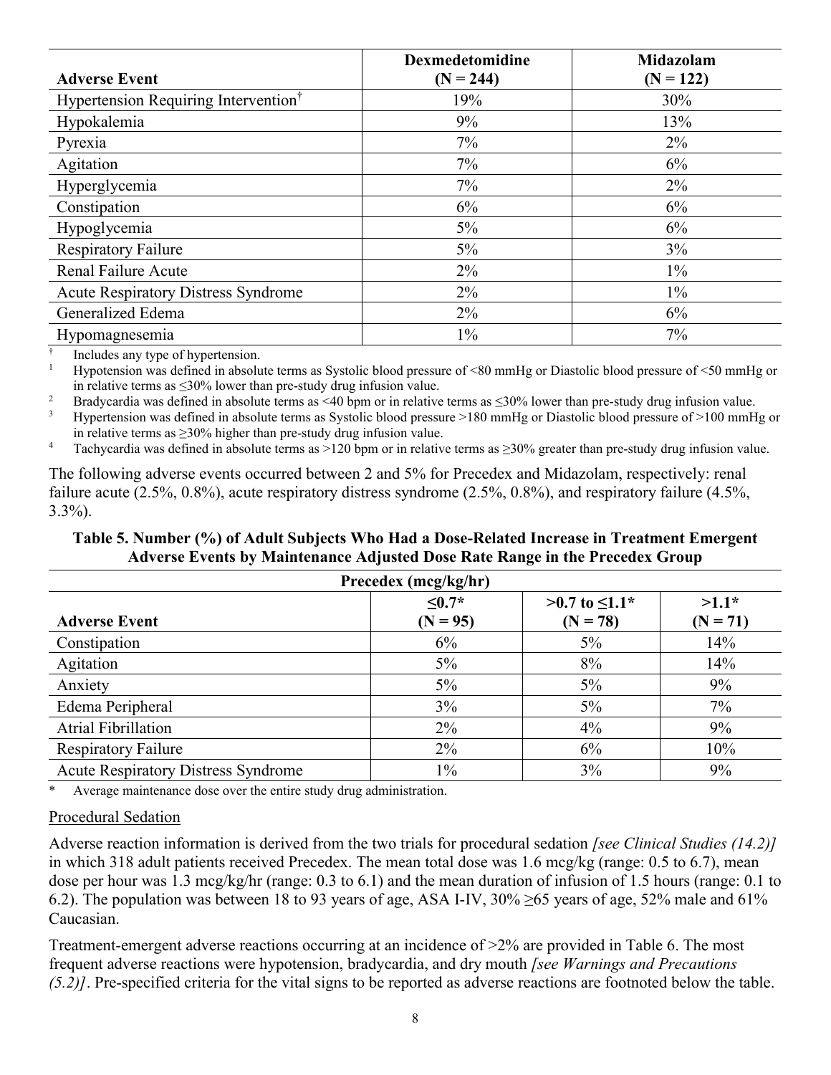|                                                  | <b>Dexmedetomidine</b> | Midazolam   |
|--------------------------------------------------|------------------------|-------------|
| <b>Adverse Event</b>                             | $(N = 244)$            | $(N = 122)$ |
| Hypertension Requiring Intervention <sup>†</sup> | 19%                    | 30%         |
| Hypokalemia                                      | 9%                     | 13%         |
| Pyrexia                                          | $7\%$                  | $2\%$       |
| Agitation                                        | 7%                     | 6%          |
| Hyperglycemia                                    | 7%                     | 2%          |
| Constipation                                     | 6%                     | 6%          |
| Hypoglycemia                                     | $5\%$                  | 6%          |
| <b>Respiratory Failure</b>                       | 5%                     | 3%          |
| <b>Renal Failure Acute</b>                       | $2\%$                  | $1\%$       |
| <b>Acute Respiratory Distress Syndrome</b>       | $2\%$                  | $1\%$       |
| Generalized Edema                                | $2\%$                  | 6%          |
| Hypomagnesemia                                   | $1\%$                  | 7%          |

† Includes any type of hypertension.

<sup>1</sup> Hypotension was defined in absolute terms as Systolic blood pressure of <80 mmHg or Diastolic blood pressure of <50 mmHg or in relative terms as ≤30% lower than pre-study drug infusion value.

<sup>2</sup> Bradycardia was defined in absolute terms as <40 bpm or in relative terms as ≤30% lower than pre-study drug infusion value.

<sup>3</sup> Hypertension was defined in absolute terms as Systolic blood pressure  $>180$  mmHg or Diastolic blood pressure of  $>100$  mmHg or in relative terms as  $\geq$ 30% higher than pre-study drug infusion value.

<sup>4</sup> Tachycardia was defined in absolute terms as >120 bpm or in relative terms as ≥30% greater than pre-study drug infusion value.

The following adverse events occurred between 2 and 5% for Precedex and Midazolam, respectively: renal failure acute (2.5%, 0.8%), acute respiratory distress syndrome (2.5%, 0.8%), and respiratory failure (4.5%, 3.3%).

# **Table 5. Number (%) of Adult Subjects Who Had a Dose-Related Increase in Treatment Emergent Adverse Events by Maintenance Adjusted Dose Rate Range in the Precedex Group**

| Precedex (mcg/kg/hr)                       |                           |                                      |                       |  |
|--------------------------------------------|---------------------------|--------------------------------------|-----------------------|--|
| <b>Adverse Event</b>                       | $\leq 0.7*$<br>$(N = 95)$ | $>0.7$ to $\leq 1.1$ *<br>$(N = 78)$ | $>1.1*$<br>$(N = 71)$ |  |
| Constipation                               | 6%                        | 5%                                   | 14%                   |  |
| Agitation                                  | $5\%$                     | 8%                                   | 14%                   |  |
| Anxiety                                    | $5\%$                     | 5%                                   | 9%                    |  |
| Edema Peripheral                           | 3%                        | $5\%$                                | 7%                    |  |
| <b>Atrial Fibrillation</b>                 | $2\%$                     | 4%                                   | 9%                    |  |
| <b>Respiratory Failure</b>                 | $2\%$                     | 6%                                   | 10%                   |  |
| <b>Acute Respiratory Distress Syndrome</b> | $1\%$                     | 3%                                   | 9%                    |  |

Average maintenance dose over the entire study drug administration.

#### Procedural Sedation

Adverse reaction information is derived from the two trials for procedural sedation *[see Clinical Studies (14.2)]* in which 318 adult patients received Precedex. The mean total dose was 1.6 mcg/kg (range: 0.5 to 6.7), mean dose per hour was 1.3 mcg/kg/hr (range: 0.3 to 6.1) and the mean duration of infusion of 1.5 hours (range: 0.1 to 6.2). The population was between 18 to 93 years of age, ASA I-IV,  $30\% \ge 65$  years of age,  $52\%$  male and  $61\%$ Caucasian.

Treatment-emergent adverse reactions occurring at an incidence of >2% are provided in Table 6. The most frequent adverse reactions were hypotension, bradycardia, and dry mouth *[see Warnings and Precautions (5.2)]*. Pre-specified criteria for the vital signs to be reported as adverse reactions are footnoted below the table.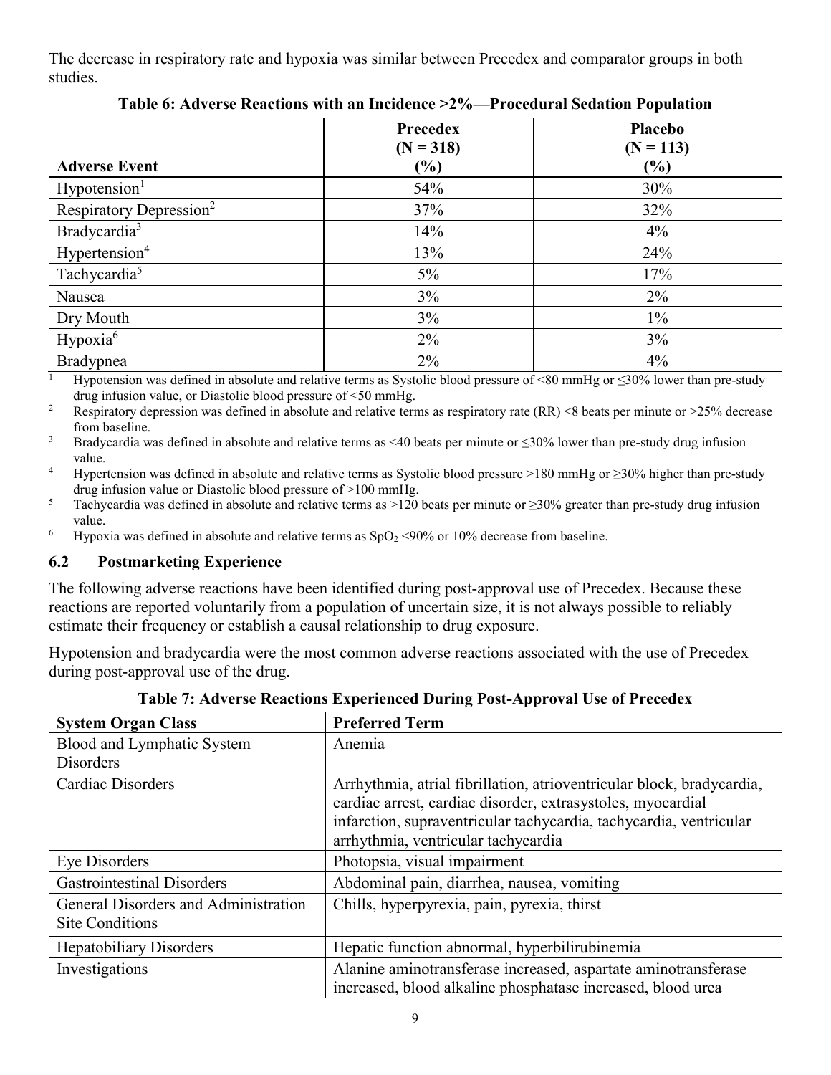The decrease in respiratory rate and hypoxia was similar between Precedex and comparator groups in both studies.

|                                     | <b>Precedex</b><br>$(N = 318)$ | <b>Placebo</b><br>$(N = 113)$ |
|-------------------------------------|--------------------------------|-------------------------------|
| <b>Adverse Event</b>                | (%)                            | $(\%)$                        |
| Hypotension <sup>1</sup>            | 54%                            | 30%                           |
| Respiratory Depression <sup>2</sup> | 37%                            | 32%                           |
| Bradycardia <sup>3</sup>            | 14%                            | 4%                            |
| Hypertension <sup>4</sup>           | 13%                            | 24%                           |
| Tachycardia <sup>5</sup>            | $5\%$                          | 17%                           |
| Nausea                              | $3\%$                          | $2\%$                         |
| Dry Mouth                           | $3\%$                          | $1\%$                         |
| Hypoxia <sup>6</sup>                | 2%                             | 3%                            |
| Bradypnea                           | 2%                             | 4%                            |

**Table 6: Adverse Reactions with an Incidence >2%—Procedural Sedation Population**

<sup>1</sup> Hypotension was defined in absolute and relative terms as Systolic blood pressure of <80 mmHg or  $\leq$ 30% lower than pre-study drug infusion value, or Diastolic blood pressure of <50 mmHg.

<sup>2</sup> Respiratory depression was defined in absolute and relative terms as respiratory rate  $(RR)$  <8 beats per minute or >25% decrease from baseline.

 $3$  Bradycardia was defined in absolute and relative terms as <40 beats per minute or  $\leq$ 30% lower than pre-study drug infusion value.

<sup>4</sup> Hypertension was defined in absolute and relative terms as Systolic blood pressure >180 mmHg or  $\geq$ 30% higher than pre-study drug infusion value or Diastolic blood pressure of >100 mmHg.

5 Tachycardia was defined in absolute and relative terms as >120 beats per minute or  $\geq$ 30% greater than pre-study drug infusion value.

<sup>6</sup> Hypoxia was defined in absolute and relative terms as  $SpO<sub>2</sub> < 90%$  or 10% decrease from baseline.

#### **6.2 Postmarketing Experience**

The following adverse reactions have been identified during post-approval use of Precedex. Because these reactions are reported voluntarily from a population of uncertain size, it is not always possible to reliably estimate their frequency or establish a causal relationship to drug exposure.

Hypotension and bradycardia were the most common adverse reactions associated with the use of Precedex during post-approval use of the drug.

| <b>System Organ Class</b>                                      | <b>Preferred Term</b>                                                                                                                                                                                                                             |
|----------------------------------------------------------------|---------------------------------------------------------------------------------------------------------------------------------------------------------------------------------------------------------------------------------------------------|
| Blood and Lymphatic System                                     | Anemia                                                                                                                                                                                                                                            |
| <b>Disorders</b>                                               |                                                                                                                                                                                                                                                   |
| Cardiac Disorders                                              | Arrhythmia, atrial fibrillation, atrioventricular block, bradycardia,<br>cardiac arrest, cardiac disorder, extrasystoles, myocardial<br>infarction, supraventricular tachycardia, tachycardia, ventricular<br>arrhythmia, ventricular tachycardia |
| Eye Disorders                                                  | Photopsia, visual impairment                                                                                                                                                                                                                      |
| <b>Gastrointestinal Disorders</b>                              | Abdominal pain, diarrhea, nausea, vomiting                                                                                                                                                                                                        |
| General Disorders and Administration<br><b>Site Conditions</b> | Chills, hyperpyrexia, pain, pyrexia, thirst                                                                                                                                                                                                       |
| <b>Hepatobiliary Disorders</b>                                 | Hepatic function abnormal, hyperbilirubinemia                                                                                                                                                                                                     |
| Investigations                                                 | Alanine aminotransferase increased, aspartate aminotransferase<br>increased, blood alkaline phosphatase increased, blood urea                                                                                                                     |

**Table 7: Adverse Reactions Experienced During Post-Approval Use of Precedex**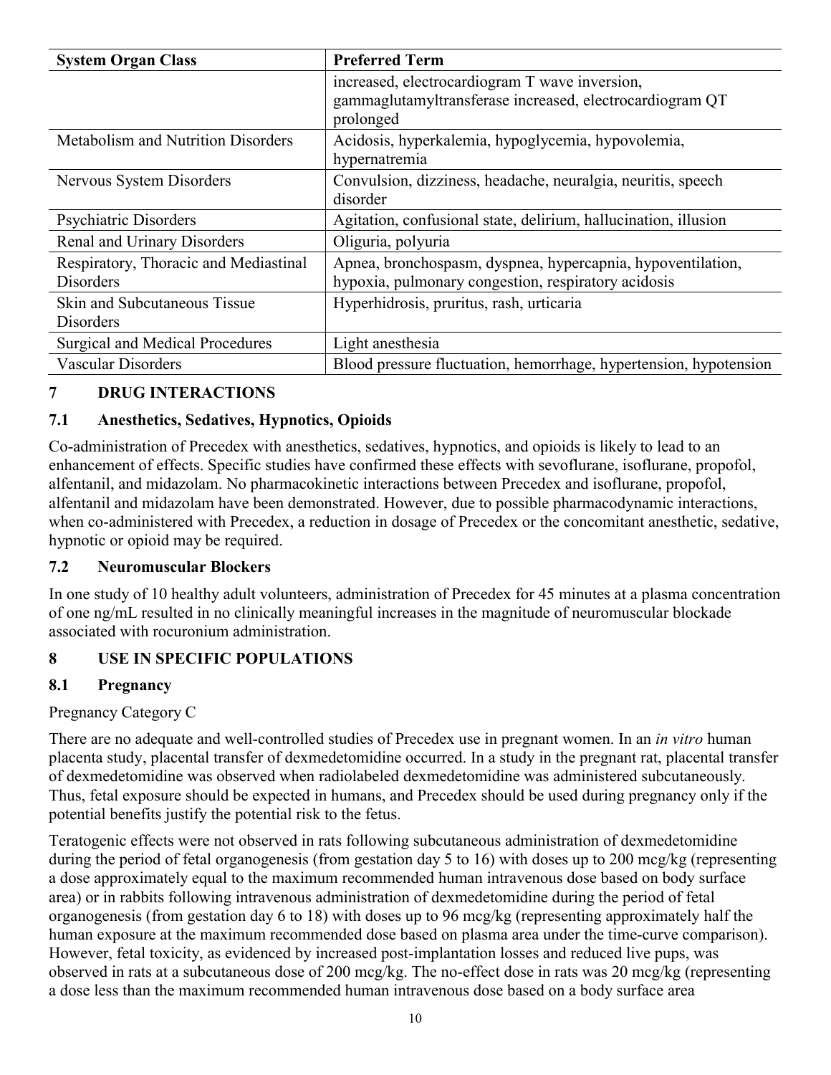| <b>System Organ Class</b>                                 | <b>Preferred Term</b>                                                                                                   |
|-----------------------------------------------------------|-------------------------------------------------------------------------------------------------------------------------|
|                                                           | increased, electrocardiogram T wave inversion,<br>gammaglutamyltransferase increased, electrocardiogram QT<br>prolonged |
| <b>Metabolism and Nutrition Disorders</b>                 | Acidosis, hyperkalemia, hypoglycemia, hypovolemia,<br>hypernatremia                                                     |
| Nervous System Disorders                                  | Convulsion, dizziness, headache, neuralgia, neuritis, speech<br>disorder                                                |
| <b>Psychiatric Disorders</b>                              | Agitation, confusional state, delirium, hallucination, illusion                                                         |
| Renal and Urinary Disorders                               | Oliguria, polyuria                                                                                                      |
| Respiratory, Thoracic and Mediastinal<br><b>Disorders</b> | Apnea, bronchospasm, dyspnea, hypercapnia, hypoventilation,<br>hypoxia, pulmonary congestion, respiratory acidosis      |
| Skin and Subcutaneous Tissue<br><b>Disorders</b>          | Hyperhidrosis, pruritus, rash, urticaria                                                                                |
| Surgical and Medical Procedures                           | Light anesthesia                                                                                                        |
| <b>Vascular Disorders</b>                                 | Blood pressure fluctuation, hemorrhage, hypertension, hypotension                                                       |

## **7 DRUG INTERACTIONS**

#### **7.1 Anesthetics, Sedatives, Hypnotics, Opioids**

Co-administration of Precedex with anesthetics, sedatives, hypnotics, and opioids is likely to lead to an enhancement of effects. Specific studies have confirmed these effects with sevoflurane, isoflurane, propofol, alfentanil, and midazolam. No pharmacokinetic interactions between Precedex and isoflurane, propofol, alfentanil and midazolam have been demonstrated. However, due to possible pharmacodynamic interactions, when co-administered with Precedex, a reduction in dosage of Precedex or the concomitant anesthetic, sedative, hypnotic or opioid may be required.

#### **7.2 Neuromuscular Blockers**

In one study of 10 healthy adult volunteers, administration of Precedex for 45 minutes at a plasma concentration of one ng/mL resulted in no clinically meaningful increases in the magnitude of neuromuscular blockade associated with rocuronium administration.

#### **8 USE IN SPECIFIC POPULATIONS**

#### **8.1 Pregnancy**

#### Pregnancy Category C

There are no adequate and well-controlled studies of Precedex use in pregnant women. In an *in vitro* human placenta study, placental transfer of dexmedetomidine occurred. In a study in the pregnant rat, placental transfer of dexmedetomidine was observed when radiolabeled dexmedetomidine was administered subcutaneously. Thus, fetal exposure should be expected in humans, and Precedex should be used during pregnancy only if the potential benefits justify the potential risk to the fetus.

Teratogenic effects were not observed in rats following subcutaneous administration of dexmedetomidine during the period of fetal organogenesis (from gestation day 5 to 16) with doses up to 200 mcg/kg (representing a dose approximately equal to the maximum recommended human intravenous dose based on body surface area) or in rabbits following intravenous administration of dexmedetomidine during the period of fetal organogenesis (from gestation day 6 to 18) with doses up to 96 mcg/kg (representing approximately half the human exposure at the maximum recommended dose based on plasma area under the time-curve comparison). However, fetal toxicity, as evidenced by increased post-implantation losses and reduced live pups, was observed in rats at a subcutaneous dose of 200 mcg/kg. The no-effect dose in rats was 20 mcg/kg (representing a dose less than the maximum recommended human intravenous dose based on a body surface area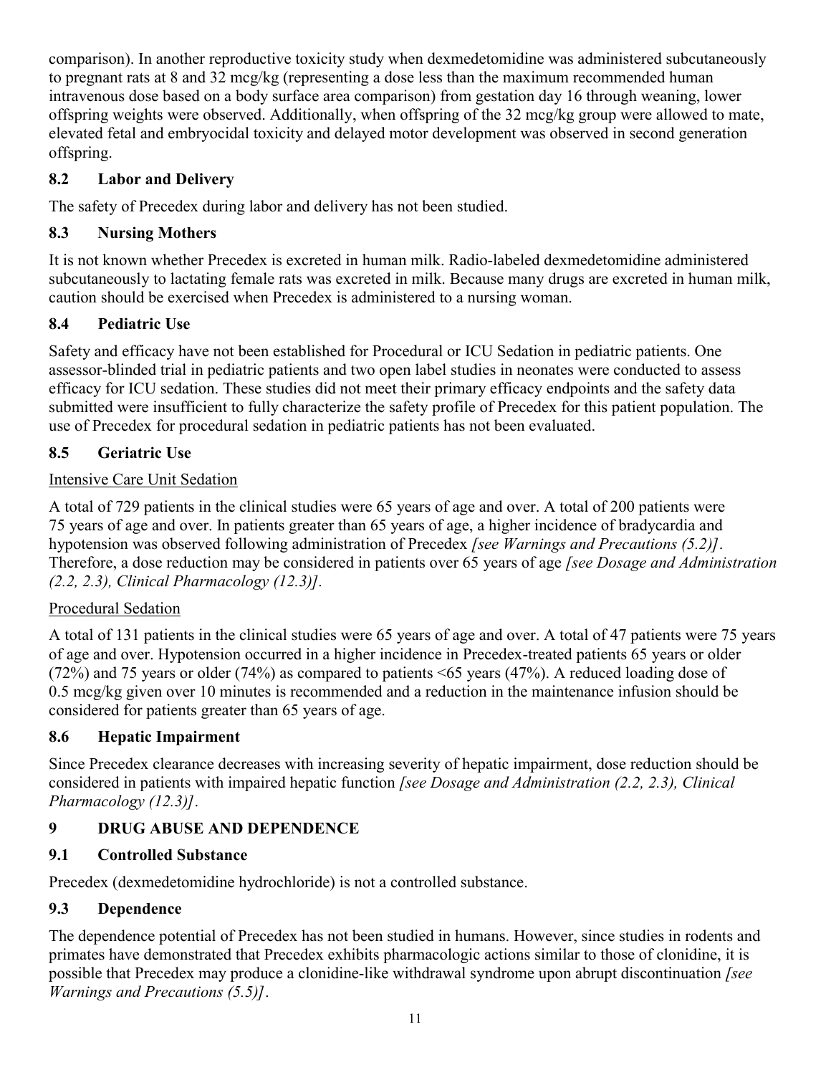comparison). In another reproductive toxicity study when dexmedetomidine was administered subcutaneously to pregnant rats at 8 and 32 mcg/kg (representing a dose less than the maximum recommended human intravenous dose based on a body surface area comparison) from gestation day 16 through weaning, lower offspring weights were observed. Additionally, when offspring of the 32 mcg/kg group were allowed to mate, elevated fetal and embryocidal toxicity and delayed motor development was observed in second generation offspring.

## **8.2 Labor and Delivery**

The safety of Precedex during labor and delivery has not been studied.

## **8.3 Nursing Mothers**

It is not known whether Precedex is excreted in human milk. Radio-labeled dexmedetomidine administered subcutaneously to lactating female rats was excreted in milk. Because many drugs are excreted in human milk, caution should be exercised when Precedex is administered to a nursing woman.

## **8.4 Pediatric Use**

Safety and efficacy have not been established for Procedural or ICU Sedation in pediatric patients. One assessor-blinded trial in pediatric patients and two open label studies in neonates were conducted to assess efficacy for ICU sedation. These studies did not meet their primary efficacy endpoints and the safety data submitted were insufficient to fully characterize the safety profile of Precedex for this patient population. The use of Precedex for procedural sedation in pediatric patients has not been evaluated.

## **8.5 Geriatric Use**

## Intensive Care Unit Sedation

A total of 729 patients in the clinical studies were 65 years of age and over. A total of 200 patients were 75 years of age and over. In patients greater than 65 years of age, a higher incidence of bradycardia and hypotension was observed following administration of Precedex *[see Warnings and Precautions (5.2)]*. Therefore, a dose reduction may be considered in patients over 65 years of age *[see Dosage and Administration (2.2, 2.3), Clinical Pharmacology (12.3)].*

## Procedural Sedation

A total of 131 patients in the clinical studies were 65 years of age and over. A total of 47 patients were 75 years of age and over. Hypotension occurred in a higher incidence in Precedex-treated patients 65 years or older (72%) and 75 years or older (74%) as compared to patients <65 years (47%). A reduced loading dose of 0.5 mcg/kg given over 10 minutes is recommended and a reduction in the maintenance infusion should be considered for patients greater than 65 years of age.

## **8.6 Hepatic Impairment**

Since Precedex clearance decreases with increasing severity of hepatic impairment, dose reduction should be considered in patients with impaired hepatic function *[see Dosage and Administration (2.2, 2.3), Clinical Pharmacology (12.3)]*.

## **9 DRUG ABUSE AND DEPENDENCE**

## **9.1 Controlled Substance**

Precedex (dexmedetomidine hydrochloride) is not a controlled substance.

## **9.3 Dependence**

The dependence potential of Precedex has not been studied in humans. However, since studies in rodents and primates have demonstrated that Precedex exhibits pharmacologic actions similar to those of clonidine, it is possible that Precedex may produce a clonidine-like withdrawal syndrome upon abrupt discontinuation *[see Warnings and Precautions (5.5)]*.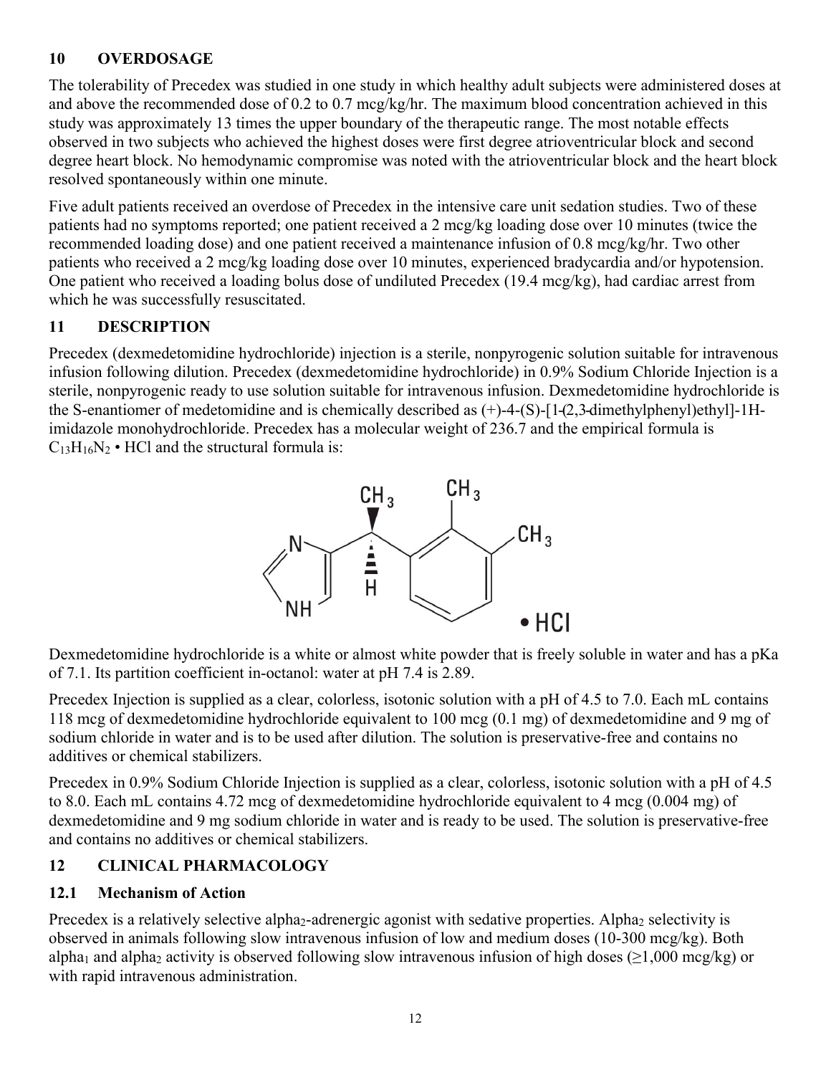## **10 OVERDOSAGE**

The tolerability of Precedex was studied in one study in which healthy adult subjects were administered doses at and above the recommended dose of 0.2 to 0.7 mcg/kg/hr. The maximum blood concentration achieved in this study was approximately 13 times the upper boundary of the therapeutic range. The most notable effects observed in two subjects who achieved the highest doses were first degree atrioventricular block and second degree heart block. No hemodynamic compromise was noted with the atrioventricular block and the heart block resolved spontaneously within one minute.

Five adult patients received an overdose of Precedex in the intensive care unit sedation studies. Two of these patients had no symptoms reported; one patient received a 2 mcg/kg loading dose over 10 minutes (twice the recommended loading dose) and one patient received a maintenance infusion of 0.8 mcg/kg/hr. Two other patients who received a 2 mcg/kg loading dose over 10 minutes, experienced bradycardia and/or hypotension. One patient who received a loading bolus dose of undiluted Precedex (19.4 mcg/kg), had cardiac arrest from which he was successfully resuscitated.

## **11 DESCRIPTION**

Precedex (dexmedetomidine hydrochloride) injection is a sterile, nonpyrogenic solution suitable for intravenous infusion following dilution. Precedex (dexmedetomidine hydrochloride) in 0.9% Sodium Chloride Injection is a sterile, nonpyrogenic ready to use solution suitable for intravenous infusion. Dexmedetomidine hydrochloride is the S-enantiomer of medetomidine and is chemically described as (+)-4-(S)-[1-(2,3-dimethylphenyl)ethyl]-1Himidazole monohydrochloride. Precedex has a molecular weight of 236.7 and the empirical formula is  $C_{13}H_{16}N_2$  • HCl and the structural formula is:



Dexmedetomidine hydrochloride is a white or almost white powder that is freely soluble in water and has a pKa of 7.1. Its partition coefficient in-octanol: water at pH 7.4 is 2.89.

Precedex Injection is supplied as a clear, colorless, isotonic solution with a pH of 4.5 to 7.0. Each mL contains 118 mcg of dexmedetomidine hydrochloride equivalent to 100 mcg (0.1 mg) of dexmedetomidine and 9 mg of sodium chloride in water and is to be used after dilution. The solution is preservative-free and contains no additives or chemical stabilizers.

Precedex in 0.9% Sodium Chloride Injection is supplied as a clear, colorless, isotonic solution with a pH of 4.5 to 8.0. Each mL contains 4.72 mcg of dexmedetomidine hydrochloride equivalent to 4 mcg (0.004 mg) of dexmedetomidine and 9 mg sodium chloride in water and is ready to be used. The solution is preservative-free and contains no additives or chemical stabilizers.

## **12 CLINICAL PHARMACOLOGY**

## **12.1 Mechanism of Action**

Precedex is a relatively selective alpha<sub>2</sub>-adrenergic agonist with sedative properties. Alpha<sub>2</sub> selectivity is observed in animals following slow intravenous infusion of low and medium doses (10-300 mcg/kg). Both alpha<sub>1</sub> and alpha<sub>2</sub> activity is observed following slow intravenous infusion of high doses ( $>1,000$  mcg/kg) or with rapid intravenous administration.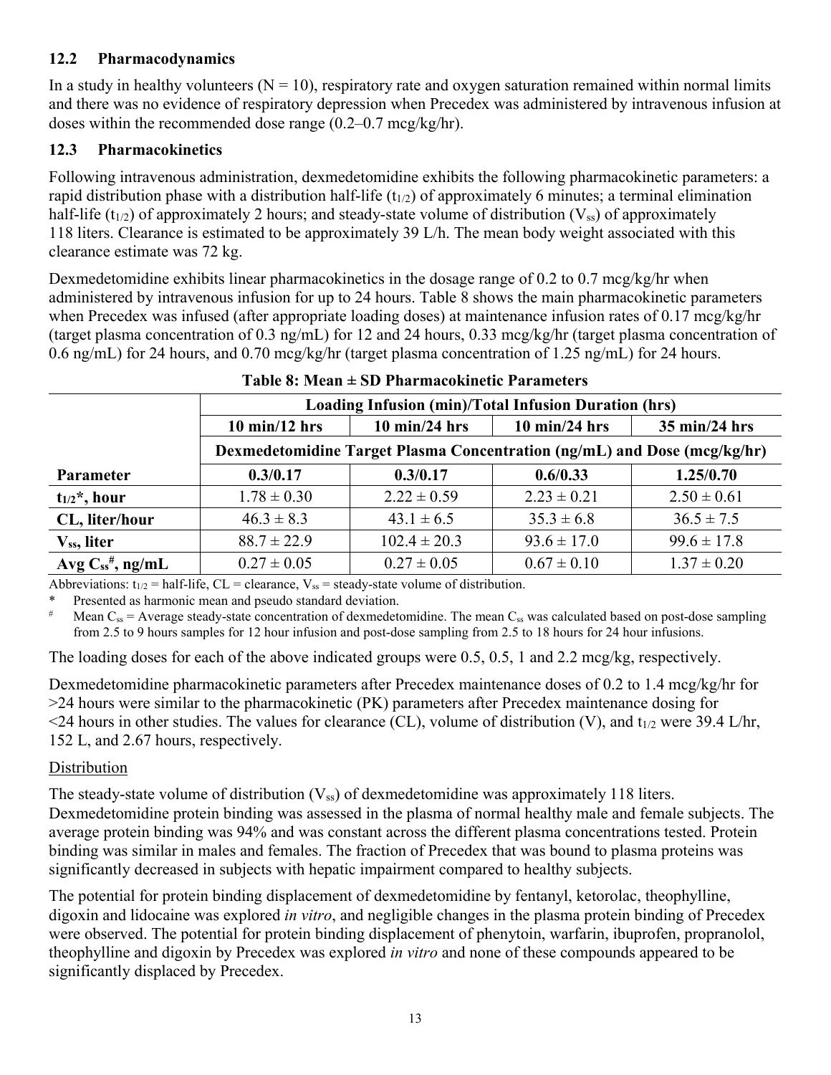#### **12.2 Pharmacodynamics**

In a study in healthy volunteers  $(N = 10)$ , respiratory rate and oxygen saturation remained within normal limits and there was no evidence of respiratory depression when Precedex was administered by intravenous infusion at doses within the recommended dose range (0.2–0.7 mcg/kg/hr).

#### **12.3 Pharmacokinetics**

Following intravenous administration, dexmedetomidine exhibits the following pharmacokinetic parameters: a rapid distribution phase with a distribution half-life  $(t_{1/2})$  of approximately 6 minutes; a terminal elimination half-life (t<sub>1/2</sub>) of approximately 2 hours; and steady-state volume of distribution ( $V_{ss}$ ) of approximately 118 liters. Clearance is estimated to be approximately 39 L/h. The mean body weight associated with this clearance estimate was 72 kg.

Dexmedetomidine exhibits linear pharmacokinetics in the dosage range of 0.2 to 0.7 mcg/kg/hr when administered by intravenous infusion for up to 24 hours. Table 8 shows the main pharmacokinetic parameters when Precedex was infused (after appropriate loading doses) at maintenance infusion rates of 0.17 mcg/kg/hr (target plasma concentration of 0.3 ng/mL) for 12 and 24 hours, 0.33 mcg/kg/hr (target plasma concentration of 0.6 ng/mL) for 24 hours, and 0.70 mcg/kg/hr (target plasma concentration of 1.25 ng/mL) for 24 hours.

|                               | <b>Loading Infusion (min)/Total Infusion Duration (hrs)</b>              |                                 |                                 |                                 |  |
|-------------------------------|--------------------------------------------------------------------------|---------------------------------|---------------------------------|---------------------------------|--|
|                               | $10 \text{ min}/12 \text{ hrs}$                                          | $10 \text{ min}/24 \text{ hrs}$ | $10 \text{ min}/24 \text{ hrs}$ | $35 \text{ min}/24 \text{ hrs}$ |  |
|                               | Dexmedetomidine Target Plasma Concentration (ng/mL) and Dose (mcg/kg/hr) |                                 |                                 |                                 |  |
| Parameter                     | 0.3/0.17                                                                 | 0.3/0.17                        | 0.6/0.33                        | 1.25/0.70                       |  |
| $t_{1/2}$ <sup>*</sup> , hour | $1.78 \pm 0.30$                                                          | $2.22 \pm 0.59$                 | $2.23 \pm 0.21$                 | $2.50 \pm 0.61$                 |  |
| CL, liter/hour                | $46.3 \pm 8.3$                                                           | $43.1 \pm 6.5$                  | $35.3 \pm 6.8$                  | $36.5 \pm 7.5$                  |  |
| V <sub>ss</sub> , liter       | $88.7 \pm 22.9$                                                          | $102.4 \pm 20.3$                | $93.6 \pm 17.0$                 | $99.6 \pm 17.8$                 |  |
| Avg $C_{ss}^{\#}$ , ng/mL     | $0.27 \pm 0.05$                                                          | $0.27 \pm 0.05$                 | $0.67 \pm 0.10$                 | $1.37 \pm 0.20$                 |  |

| Table 8: Mean ± SD Pharmacokinetic Parameters |  |  |  |
|-----------------------------------------------|--|--|--|
|-----------------------------------------------|--|--|--|

Abbreviations:  $t_{1/2}$  = half-life, CL = clearance,  $V_{ss}$  = steady-state volume of distribution.

Presented as harmonic mean and pseudo standard deviation.

Mean  $C_{ss}$  = Average steady-state concentration of dexmedetomidine. The mean  $C_{ss}$  was calculated based on post-dose sampling from 2.5 to 9 hours samples for 12 hour infusion and post-dose sampling from 2.5 to 18 hours for 24 hour infusions.

The loading doses for each of the above indicated groups were 0.5, 0.5, 1 and 2.2 mcg/kg, respectively.

Dexmedetomidine pharmacokinetic parameters after Precedex maintenance doses of 0.2 to 1.4 mcg/kg/hr for >24 hours were similar to the pharmacokinetic (PK) parameters after Precedex maintenance dosing for  $\leq$ 24 hours in other studies. The values for clearance (CL), volume of distribution (V), and t<sub>1/2</sub> were 39.4 L/hr, 152 L, and 2.67 hours, respectively.

#### **Distribution**

The steady-state volume of distribution  $(V_{ss})$  of dexmedetomidine was approximately 118 liters. Dexmedetomidine protein binding was assessed in the plasma of normal healthy male and female subjects. The average protein binding was 94% and was constant across the different plasma concentrations tested. Protein binding was similar in males and females. The fraction of Precedex that was bound to plasma proteins was significantly decreased in subjects with hepatic impairment compared to healthy subjects.

The potential for protein binding displacement of dexmedetomidine by fentanyl, ketorolac, theophylline, digoxin and lidocaine was explored *in vitro*, and negligible changes in the plasma protein binding of Precedex were observed. The potential for protein binding displacement of phenytoin, warfarin, ibuprofen, propranolol, theophylline and digoxin by Precedex was explored *in vitro* and none of these compounds appeared to be significantly displaced by Precedex.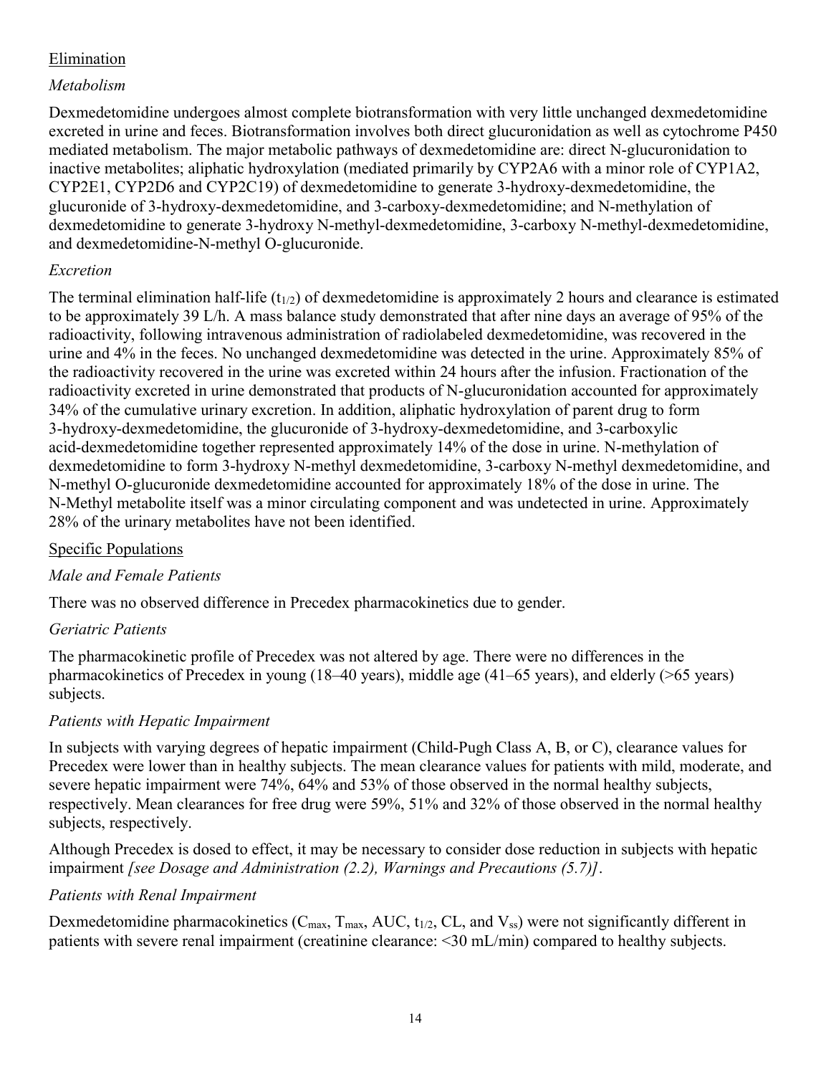#### Elimination

#### *Metabolism*

Dexmedetomidine undergoes almost complete biotransformation with very little unchanged dexmedetomidine excreted in urine and feces. Biotransformation involves both direct glucuronidation as well as cytochrome P450 mediated metabolism. The major metabolic pathways of dexmedetomidine are: direct N-glucuronidation to inactive metabolites; aliphatic hydroxylation (mediated primarily by CYP2A6 with a minor role of CYP1A2, CYP2E1, CYP2D6 and CYP2C19) of dexmedetomidine to generate 3-hydroxy-dexmedetomidine, the glucuronide of 3-hydroxy-dexmedetomidine, and 3-carboxy-dexmedetomidine; and N-methylation of dexmedetomidine to generate 3-hydroxy N-methyl-dexmedetomidine, 3-carboxy N-methyl-dexmedetomidine, and dexmedetomidine-N-methyl O-glucuronide.

#### *Excretion*

The terminal elimination half-life  $(t_{1/2})$  of dexmedetomidine is approximately 2 hours and clearance is estimated to be approximately 39 L/h. A mass balance study demonstrated that after nine days an average of 95% of the radioactivity, following intravenous administration of radiolabeled dexmedetomidine, was recovered in the urine and 4% in the feces. No unchanged dexmedetomidine was detected in the urine. Approximately 85% of the radioactivity recovered in the urine was excreted within 24 hours after the infusion. Fractionation of the radioactivity excreted in urine demonstrated that products of N-glucuronidation accounted for approximately 34% of the cumulative urinary excretion. In addition, aliphatic hydroxylation of parent drug to form 3-hydroxy-dexmedetomidine, the glucuronide of 3-hydroxy-dexmedetomidine, and 3-carboxylic acid-dexmedetomidine together represented approximately 14% of the dose in urine. N-methylation of dexmedetomidine to form 3-hydroxy N-methyl dexmedetomidine, 3-carboxy N-methyl dexmedetomidine, and N-methyl O-glucuronide dexmedetomidine accounted for approximately 18% of the dose in urine. The N-Methyl metabolite itself was a minor circulating component and was undetected in urine. Approximately 28% of the urinary metabolites have not been identified.

#### Specific Populations

## *Male and Female Patients*

There was no observed difference in Precedex pharmacokinetics due to gender.

#### *Geriatric Patients*

The pharmacokinetic profile of Precedex was not altered by age. There were no differences in the pharmacokinetics of Precedex in young (18–40 years), middle age (41–65 years), and elderly (>65 years) subjects.

## *Patients with Hepatic Impairment*

In subjects with varying degrees of hepatic impairment (Child-Pugh Class A, B, or C), clearance values for Precedex were lower than in healthy subjects. The mean clearance values for patients with mild, moderate, and severe hepatic impairment were 74%, 64% and 53% of those observed in the normal healthy subjects, respectively. Mean clearances for free drug were 59%, 51% and 32% of those observed in the normal healthy subjects, respectively.

Although Precedex is dosed to effect, it may be necessary to consider dose reduction in subjects with hepatic impairment *[see Dosage and Administration (2.2), Warnings and Precautions (5.7)]*.

#### *Patients with Renal Impairment*

Dexmedetomidine pharmacokinetics ( $C_{\text{max}}$ ,  $T_{\text{max}}$ , AUC,  $t_{1/2}$ , CL, and  $V_{\text{ss}}$ ) were not significantly different in patients with severe renal impairment (creatinine clearance: <30 mL/min) compared to healthy subjects.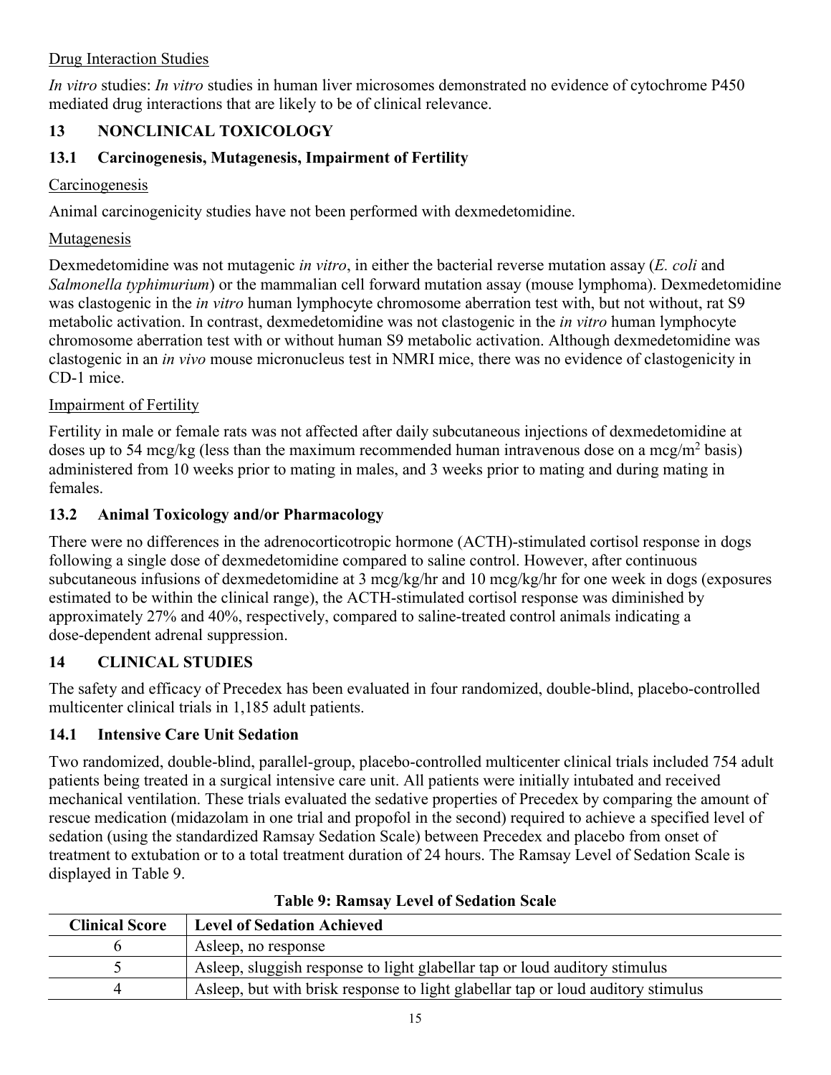## Drug Interaction Studies

*In vitro* studies: *In vitro* studies in human liver microsomes demonstrated no evidence of cytochrome P450 mediated drug interactions that are likely to be of clinical relevance.

# **13 NONCLINICAL TOXICOLOGY**

# **13.1 Carcinogenesis, Mutagenesis, Impairment of Fertility**

## **Carcinogenesis**

Animal carcinogenicity studies have not been performed with dexmedetomidine.

# **Mutagenesis**

Dexmedetomidine was not mutagenic *in vitro*, in either the bacterial reverse mutation assay (*E. coli* and *Salmonella typhimurium*) or the mammalian cell forward mutation assay (mouse lymphoma). Dexmedetomidine was clastogenic in the *in vitro* human lymphocyte chromosome aberration test with, but not without, rat S9 metabolic activation. In contrast, dexmedetomidine was not clastogenic in the *in vitro* human lymphocyte chromosome aberration test with or without human S9 metabolic activation. Although dexmedetomidine was clastogenic in an *in vivo* mouse micronucleus test in NMRI mice, there was no evidence of clastogenicity in CD-1 mice.

## Impairment of Fertility

Fertility in male or female rats was not affected after daily subcutaneous injections of dexmedetomidine at doses up to 54 mcg/kg (less than the maximum recommended human intravenous dose on a mcg/m<sup>2</sup> basis) administered from 10 weeks prior to mating in males, and 3 weeks prior to mating and during mating in females.

# **13.2 Animal Toxicology and/or Pharmacology**

There were no differences in the adrenocorticotropic hormone (ACTH)-stimulated cortisol response in dogs following a single dose of dexmedetomidine compared to saline control. However, after continuous subcutaneous infusions of dexmedetomidine at 3 mcg/kg/hr and 10 mcg/kg/hr for one week in dogs (exposures estimated to be within the clinical range), the ACTH-stimulated cortisol response was diminished by approximately 27% and 40%, respectively, compared to saline-treated control animals indicating a dose-dependent adrenal suppression.

# **14 CLINICAL STUDIES**

The safety and efficacy of Precedex has been evaluated in four randomized, double-blind, placebo-controlled multicenter clinical trials in 1,185 adult patients.

# **14.1 Intensive Care Unit Sedation**

Two randomized, double-blind, parallel-group, placebo-controlled multicenter clinical trials included 754 adult patients being treated in a surgical intensive care unit. All patients were initially intubated and received mechanical ventilation. These trials evaluated the sedative properties of Precedex by comparing the amount of rescue medication (midazolam in one trial and propofol in the second) required to achieve a specified level of sedation (using the standardized Ramsay Sedation Scale) between Precedex and placebo from onset of treatment to extubation or to a total treatment duration of 24 hours. The Ramsay Level of Sedation Scale is displayed in Table 9.

| <b>Clinical Score</b> | Level of Sedation Achieved                                                       |
|-----------------------|----------------------------------------------------------------------------------|
|                       | Asleep, no response                                                              |
|                       | Asleep, sluggish response to light glabellar tap or loud auditory stimulus       |
|                       | Asleep, but with brisk response to light glabellar tap or loud auditory stimulus |
|                       |                                                                                  |

## **Table 9: Ramsay Level of Sedation Scale**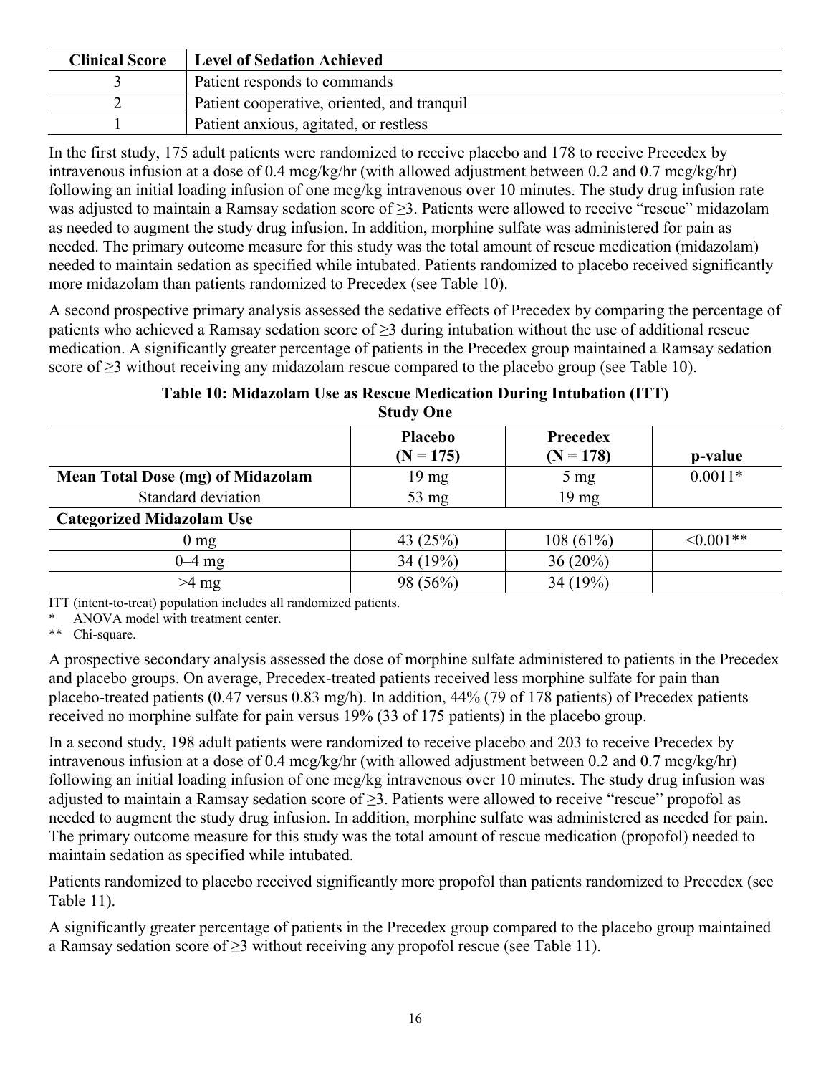| <b>Clinical Score</b> | Level of Sedation Achieved                  |
|-----------------------|---------------------------------------------|
|                       | Patient responds to commands                |
|                       | Patient cooperative, oriented, and tranquil |
|                       | Patient anxious, agitated, or restless      |

In the first study, 175 adult patients were randomized to receive placebo and 178 to receive Precedex by intravenous infusion at a dose of 0.4 mcg/kg/hr (with allowed adjustment between 0.2 and 0.7 mcg/kg/hr) following an initial loading infusion of one mcg/kg intravenous over 10 minutes. The study drug infusion rate was adjusted to maintain a Ramsay sedation score of ≥3. Patients were allowed to receive "rescue" midazolam as needed to augment the study drug infusion. In addition, morphine sulfate was administered for pain as needed. The primary outcome measure for this study was the total amount of rescue medication (midazolam) needed to maintain sedation as specified while intubated. Patients randomized to placebo received significantly more midazolam than patients randomized to Precedex (see Table 10).

A second prospective primary analysis assessed the sedative effects of Precedex by comparing the percentage of patients who achieved a Ramsay sedation score of  $\geq$ 3 during intubation without the use of additional rescue medication. A significantly greater percentage of patients in the Precedex group maintained a Ramsay sedation score of  $\geq$ 3 without receiving any midazolam rescue compared to the placebo group (see Table 10).

|                                          | Study One              |                         |                |
|------------------------------------------|------------------------|-------------------------|----------------|
|                                          | Placebo<br>$(N = 175)$ | Precedex<br>$(N = 178)$ | p-value        |
| <b>Mean Total Dose (mg) of Midazolam</b> | $19 \text{ mg}$        | $5 \text{ mg}$          | $0.0011*$      |
| Standard deviation                       | $53 \text{ mg}$        | $19 \text{ mg}$         |                |
| <b>Categorized Midazolam Use</b>         |                        |                         |                |
| $0 \text{ mg}$                           | 43 (25%)               | 108(61%)                | $\leq 0.001**$ |
| $0-4$ mg                                 | 34 (19%)               | $36(20\%)$              |                |
| $>4$ mg                                  | 98 (56%)               | 34 $(19%)$              |                |

#### **Table 10: Midazolam Use as Rescue Medication During Intubation (ITT) Study One**

ITT (intent-to-treat) population includes all randomized patients.

ANOVA model with treatment center.

\*\* Chi-square.

A prospective secondary analysis assessed the dose of morphine sulfate administered to patients in the Precedex and placebo groups. On average, Precedex-treated patients received less morphine sulfate for pain than placebo-treated patients (0.47 versus 0.83 mg/h). In addition, 44% (79 of 178 patients) of Precedex patients received no morphine sulfate for pain versus 19% (33 of 175 patients) in the placebo group.

In a second study, 198 adult patients were randomized to receive placebo and 203 to receive Precedex by intravenous infusion at a dose of 0.4 mcg/kg/hr (with allowed adjustment between 0.2 and 0.7 mcg/kg/hr) following an initial loading infusion of one mcg/kg intravenous over 10 minutes. The study drug infusion was adjusted to maintain a Ramsay sedation score of ≥3. Patients were allowed to receive "rescue" propofol as needed to augment the study drug infusion. In addition, morphine sulfate was administered as needed for pain. The primary outcome measure for this study was the total amount of rescue medication (propofol) needed to maintain sedation as specified while intubated.

Patients randomized to placebo received significantly more propofol than patients randomized to Precedex (see Table 11).

A significantly greater percentage of patients in the Precedex group compared to the placebo group maintained a Ramsay sedation score of  $\geq$ 3 without receiving any propofol rescue (see Table 11).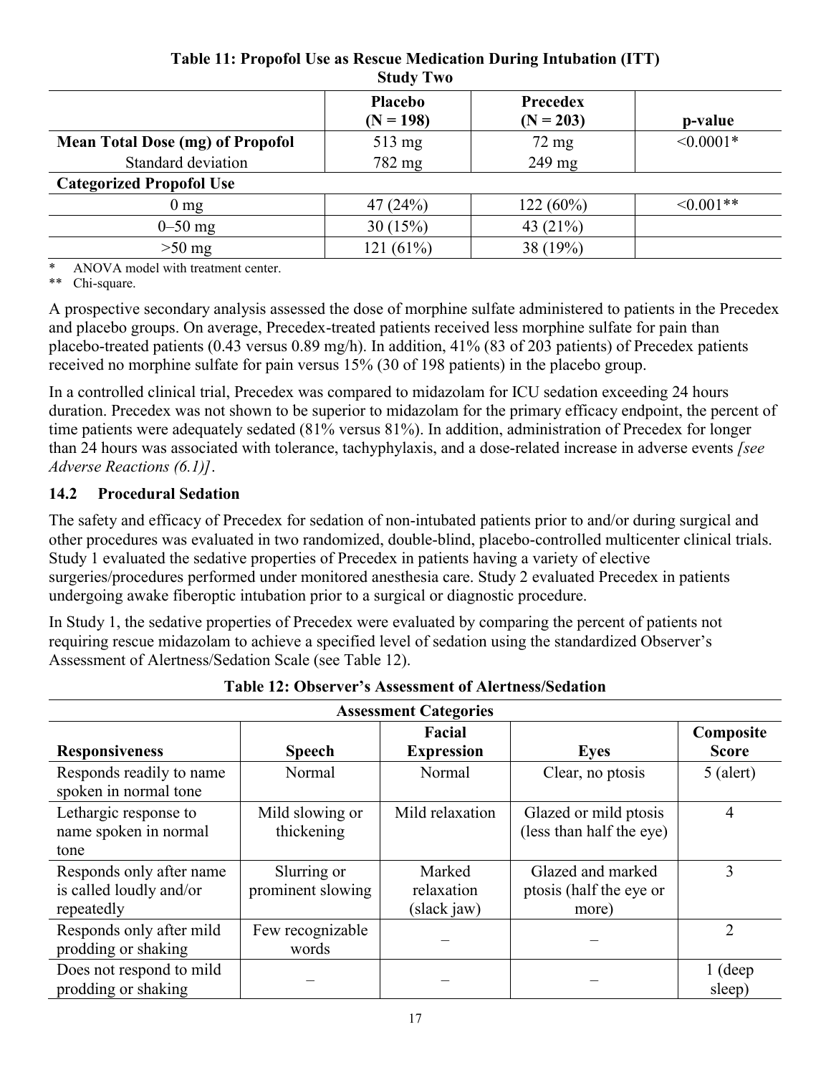|                                         | <b>Placebo</b><br>$(N = 198)$ | Precedex<br>$(N = 203)$ | p-value        |  |  |
|-----------------------------------------|-------------------------------|-------------------------|----------------|--|--|
| <b>Mean Total Dose (mg) of Propofol</b> | $513 \text{ mg}$              | $72 \text{ mg}$         | $\leq 0.0001*$ |  |  |
| Standard deviation                      | 782 mg                        | $249$ mg                |                |  |  |
| <b>Categorized Propofol Use</b>         |                               |                         |                |  |  |
| $0 \text{ mg}$                          | 47(24%)                       | 122(60%)                | $\leq 0.001**$ |  |  |
| $0 - 50$ mg                             | 30(15%)                       | 43 $(21\%)$             |                |  |  |
| $>50$ mg                                | 121 (61%)                     | 38 (19%)                |                |  |  |

#### **Table 11: Propofol Use as Rescue Medication During Intubation (ITT) Study Two**

\* ANOVA model with treatment center.<br>\*\* Chi-square

Chi-square.

A prospective secondary analysis assessed the dose of morphine sulfate administered to patients in the Precedex and placebo groups. On average, Precedex-treated patients received less morphine sulfate for pain than placebo-treated patients (0.43 versus 0.89 mg/h). In addition, 41% (83 of 203 patients) of Precedex patients received no morphine sulfate for pain versus 15% (30 of 198 patients) in the placebo group.

In a controlled clinical trial, Precedex was compared to midazolam for ICU sedation exceeding 24 hours duration. Precedex was not shown to be superior to midazolam for the primary efficacy endpoint, the percent of time patients were adequately sedated (81% versus 81%). In addition, administration of Precedex for longer than 24 hours was associated with tolerance, tachyphylaxis, and a dose-related increase in adverse events *[see Adverse Reactions (6.1)]*.

## **14.2 Procedural Sedation**

The safety and efficacy of Precedex for sedation of non-intubated patients prior to and/or during surgical and other procedures was evaluated in two randomized, double-blind, placebo-controlled multicenter clinical trials. Study 1 evaluated the sedative properties of Precedex in patients having a variety of elective surgeries/procedures performed under monitored anesthesia care. Study 2 evaluated Precedex in patients undergoing awake fiberoptic intubation prior to a surgical or diagnostic procedure.

In Study 1, the sedative properties of Precedex were evaluated by comparing the percent of patients not requiring rescue midazolam to achieve a specified level of sedation using the standardized Observer's Assessment of Alertness/Sedation Scale (see Table 12).

| <b>Assessment Categories</b>                                      |                                  |                                     |                                                       |                           |  |  |
|-------------------------------------------------------------------|----------------------------------|-------------------------------------|-------------------------------------------------------|---------------------------|--|--|
| <b>Responsiveness</b>                                             | <b>Speech</b>                    | Facial<br><b>Expression</b>         | <b>Eyes</b>                                           | Composite<br><b>Score</b> |  |  |
| Responds readily to name<br>spoken in normal tone                 | Normal                           | Normal                              | Clear, no ptosis                                      | $5$ (alert)               |  |  |
| Lethargic response to<br>name spoken in normal<br>tone            | Mild slowing or<br>thickening    | Mild relaxation                     | Glazed or mild ptosis<br>(less than half the eye)     | 4                         |  |  |
| Responds only after name<br>is called loudly and/or<br>repeatedly | Slurring or<br>prominent slowing | Marked<br>relaxation<br>(slack jaw) | Glazed and marked<br>ptosis (half the eye or<br>more) | 3                         |  |  |
| Responds only after mild<br>prodding or shaking                   | Few recognizable<br>words        |                                     |                                                       | 2                         |  |  |
| Does not respond to mild<br>prodding or shaking                   |                                  |                                     |                                                       | $1$ (deep<br>sleep)       |  |  |

|  | <b>Table 12: Observer's Assessment of Alertness/Sedation</b> |  |
|--|--------------------------------------------------------------|--|
|--|--------------------------------------------------------------|--|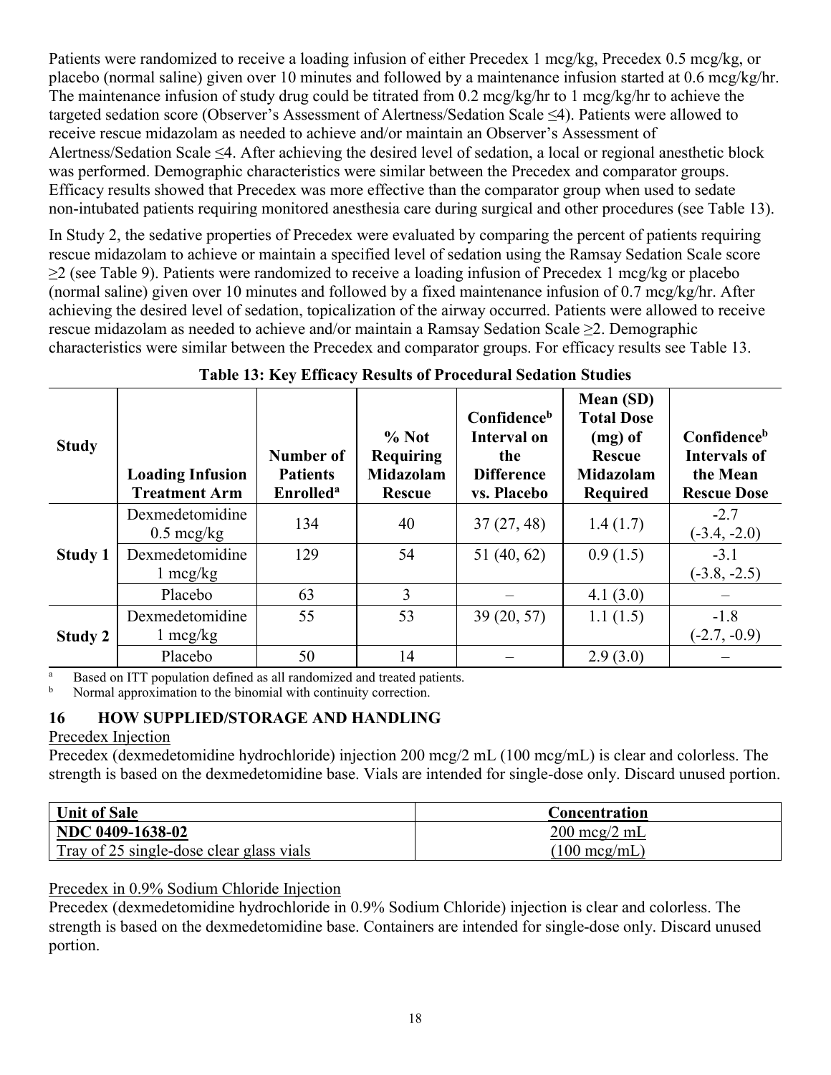Patients were randomized to receive a loading infusion of either Precedex 1 mcg/kg, Precedex 0.5 mcg/kg, or placebo (normal saline) given over 10 minutes and followed by a maintenance infusion started at 0.6 mcg/kg/hr. The maintenance infusion of study drug could be titrated from 0.2 mcg/kg/hr to 1 mcg/kg/hr to achieve the targeted sedation score (Observer's Assessment of Alertness/Sedation Scale ≤4). Patients were allowed to receive rescue midazolam as needed to achieve and/or maintain an Observer's Assessment of Alertness/Sedation Scale ≤4. After achieving the desired level of sedation, a local or regional anesthetic block was performed. Demographic characteristics were similar between the Precedex and comparator groups. Efficacy results showed that Precedex was more effective than the comparator group when used to sedate non-intubated patients requiring monitored anesthesia care during surgical and other procedures (see Table 13).

In Study 2, the sedative properties of Precedex were evaluated by comparing the percent of patients requiring rescue midazolam to achieve or maintain a specified level of sedation using the Ramsay Sedation Scale score ≥2 (see Table 9). Patients were randomized to receive a loading infusion of Precedex 1 mcg/kg or placebo (normal saline) given over 10 minutes and followed by a fixed maintenance infusion of 0.7 mcg/kg/hr. After achieving the desired level of sedation, topicalization of the airway occurred. Patients were allowed to receive rescue midazolam as needed to achieve and/or maintain a Ramsay Sedation Scale ≥2. Demographic characteristics were similar between the Precedex and comparator groups. For efficacy results see Table 13.

| <b>Study</b>   | <b>Loading Infusion</b><br><b>Treatment Arm</b> | Number of<br><b>Patients</b><br><b>Enrolled</b> <sup>a</sup> | % Not<br><b>Requiring</b><br><b>Midazolam</b><br><b>Rescue</b> | Confidence <sup>b</sup><br><b>Interval on</b><br>the<br><b>Difference</b><br>vs. Placebo | <b>Mean (SD)</b><br><b>Total Dose</b><br>$(mg)$ of<br><b>Rescue</b><br>Midazolam<br><b>Required</b> | Confidence <sup>b</sup><br><b>Intervals of</b><br>the Mean<br><b>Rescue Dose</b> |
|----------------|-------------------------------------------------|--------------------------------------------------------------|----------------------------------------------------------------|------------------------------------------------------------------------------------------|-----------------------------------------------------------------------------------------------------|----------------------------------------------------------------------------------|
|                | Dexmedetomidine<br>$0.5 \text{~mcg/kg}$         | 134                                                          | 40                                                             | 37(27, 48)                                                                               | 1.4(1.7)                                                                                            | $-2.7$<br>$(-3.4, -2.0)$                                                         |
| <b>Study 1</b> | Dexmedetomidine<br>$1 \text{~mg/kg}$            | 129                                                          | 54                                                             | 51(40, 62)                                                                               | 0.9(1.5)                                                                                            | $-3.1$<br>$(-3.8, -2.5)$                                                         |
|                | Placebo                                         | 63                                                           | 3                                                              |                                                                                          | 4.1(3.0)                                                                                            |                                                                                  |
| Study 2        | Dexmedetomidine<br>$1 \text{~mg/kg}$            | 55                                                           | 53                                                             | 39(20, 57)                                                                               | 1.1(1.5)                                                                                            | $-1.8$<br>$(-2.7, -0.9)$                                                         |
|                | Placebo                                         | 50                                                           | 14                                                             |                                                                                          | 2.9(3.0)                                                                                            |                                                                                  |

|  | Table 13: Key Efficacy Results of Procedural Sedation Studies |  |  |  |
|--|---------------------------------------------------------------|--|--|--|
|  |                                                               |  |  |  |

<sup>a</sup> Based on ITT population defined as all randomized and treated patients.<br><sup>b</sup> Normal approximation to the binomial with continuity correction

<sup>b</sup> Normal approximation to the binomial with continuity correction.

#### **16 HOW SUPPLIED/STORAGE AND HANDLING**

#### Precedex Injection

Precedex (dexmedetomidine hydrochloride) injection 200 mcg/2 mL (100 mcg/mL) is clear and colorless. The strength is based on the dexmedetomidine base. Vials are intended for single-dose only. Discard unused portion.

| Unit of Sale                             | Concentration                  |
|------------------------------------------|--------------------------------|
| NDC 0409-1638-02                         | $200 \text{~mcg}/2 \text{~mL}$ |
| Tray of 25 single-dose clear glass vials | $(100 \text{ mcg/mL})$         |

Precedex in 0.9% Sodium Chloride Injection

Precedex (dexmedetomidine hydrochloride in 0.9% Sodium Chloride) injection is clear and colorless. The strength is based on the dexmedetomidine base. Containers are intended for single-dose only. Discard unused portion.